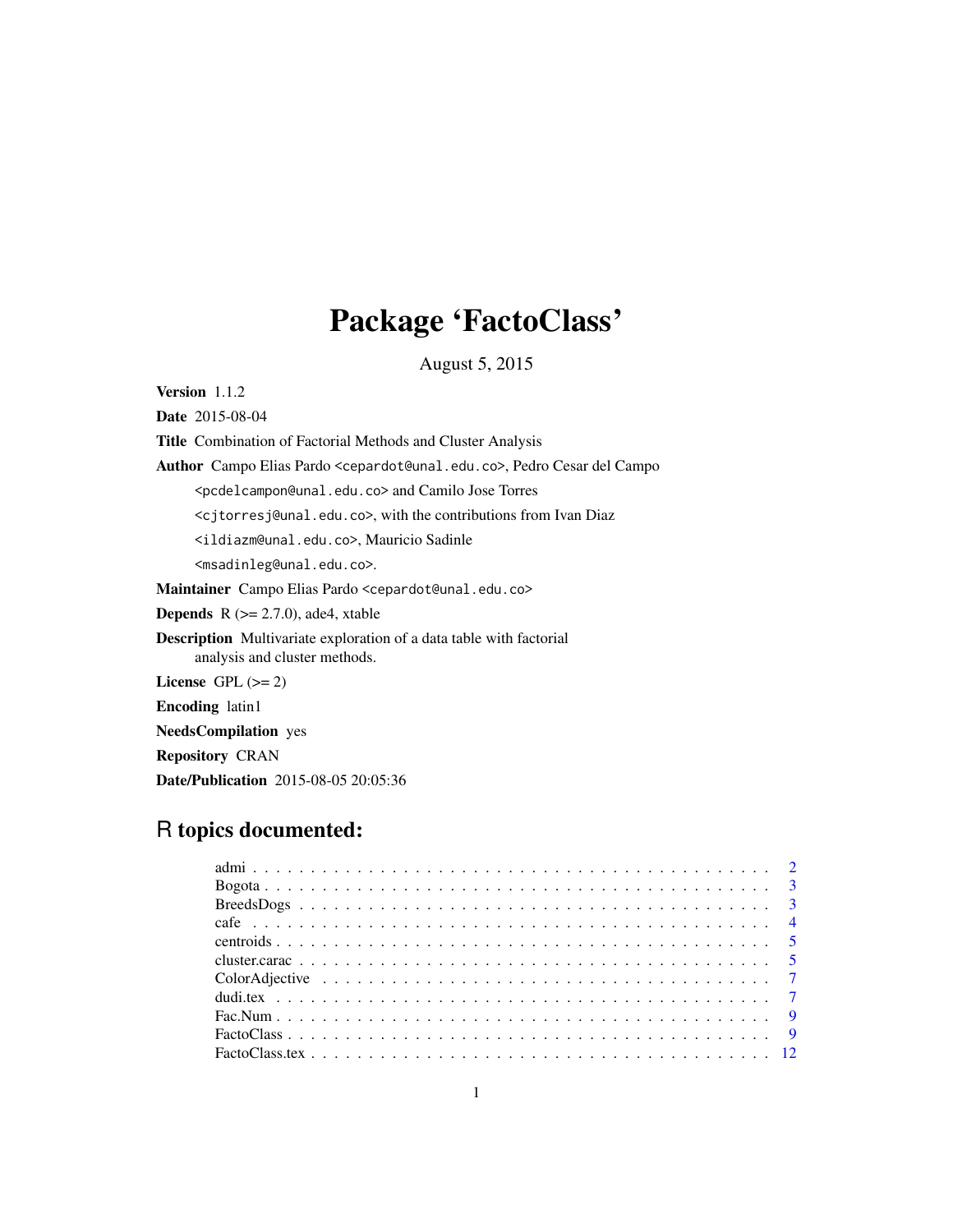# Package 'FactoClass'

August 5, 2015

Version 1.1.2

Date 2015-08-04

Title Combination of Factorial Methods and Cluster Analysis

Author Campo Elias Pardo <cepardot@unal.edu.co>, Pedro Cesar del Campo

<pcdelcampon@unal.edu.co> and Camilo Jose Torres

<cjtorresj@unal.edu.co>, with the contributions from Ivan Diaz

<ildiazm@unal.edu.co>, Mauricio Sadinle

<msadinleg@unal.edu.co>.

Maintainer Campo Elias Pardo <cepardot@unal.edu.co>

**Depends** R  $(>= 2.7.0)$ , ade4, xtable

Description Multivariate exploration of a data table with factorial analysis and cluster methods.

License GPL  $(>= 2)$ 

Encoding latin1

NeedsCompilation yes

Repository CRAN

Date/Publication 2015-08-05 20:05:36

# R topics documented: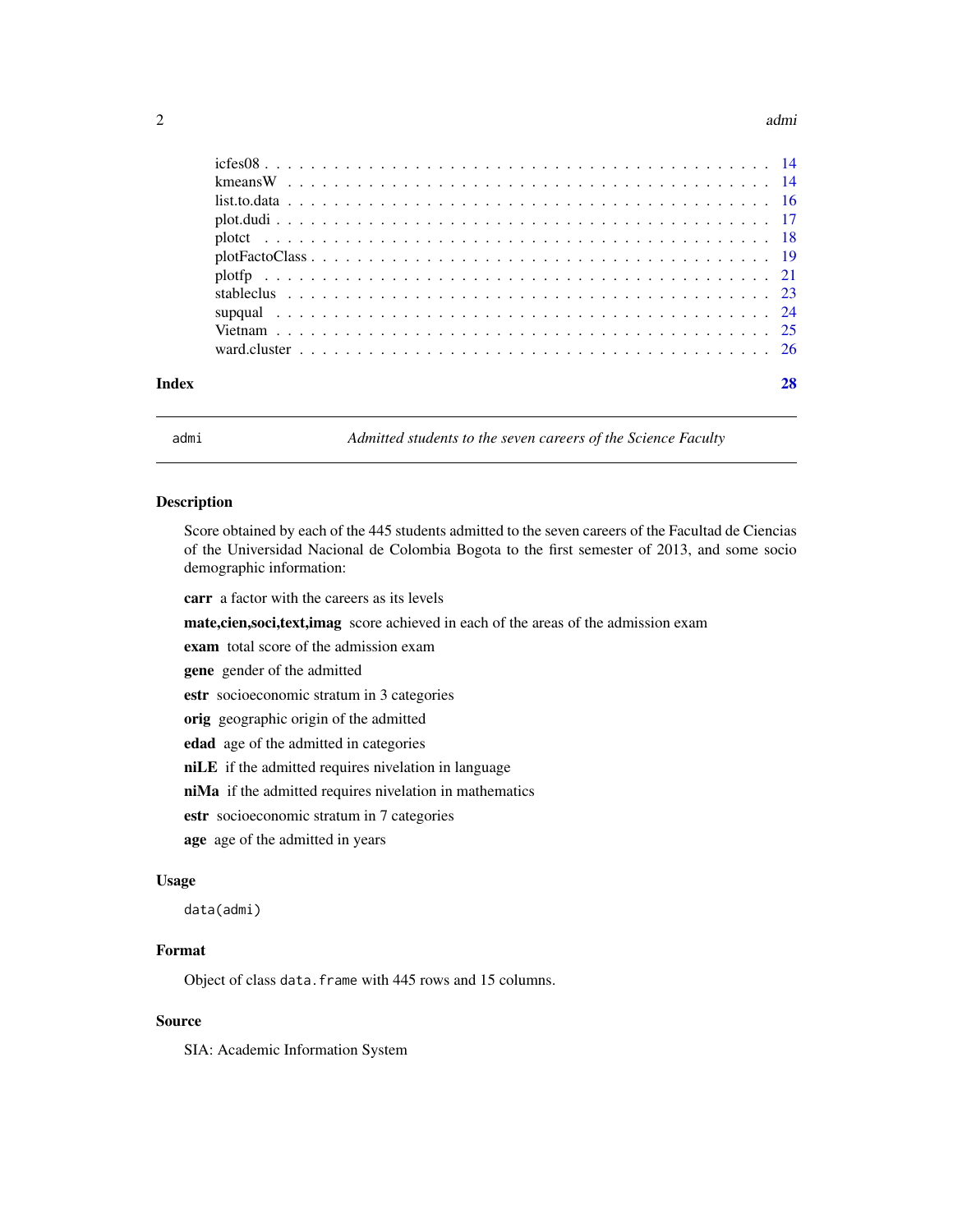#### <span id="page-1-0"></span> $2 \cos \theta$  admits a set of  $\theta$  and  $\theta$  and  $\theta$  admits a set of  $\theta$  and  $\theta$  admits a set of  $\theta$  and  $\theta$  and  $\theta$  and  $\theta$  and  $\theta$  and  $\theta$  and  $\theta$  and  $\theta$  and  $\theta$  and  $\theta$  and  $\theta$  and  $\theta$  and  $\theta$  and  $\theta$  and  $\$

| Index |  |  |  |
|-------|--|--|--|

admi *Admitted students to the seven careers of the Science Faculty*

#### Description

Score obtained by each of the 445 students admitted to the seven careers of the Facultad de Ciencias of the Universidad Nacional de Colombia Bogota to the first semester of 2013, and some socio demographic information:

carr a factor with the careers as its levels

mate,cien,soci,text,imag score achieved in each of the areas of the admission exam

exam total score of the admission exam

gene gender of the admitted

estr socioeconomic stratum in 3 categories

orig geographic origin of the admitted

edad age of the admitted in categories

niLE if the admitted requires nivelation in language

niMa if the admitted requires nivelation in mathematics

estr socioeconomic stratum in 7 categories

age age of the admitted in years

# Usage

data(admi)

# Format

Object of class data.frame with 445 rows and 15 columns.

# Source

SIA: Academic Information System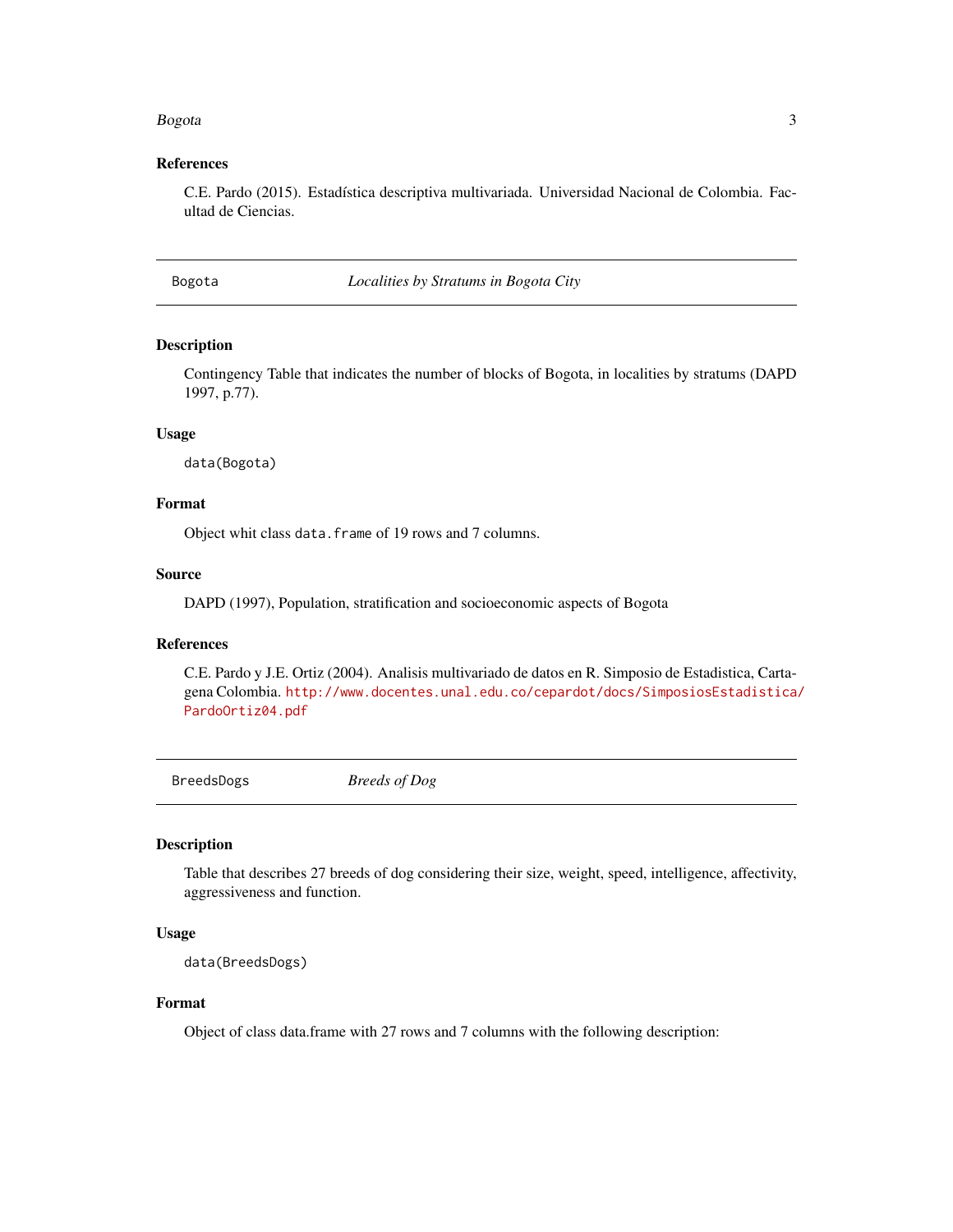#### <span id="page-2-0"></span>Bogota 2008 and 2008 and 2008 and 2008 and 2008 and 2008 and 2008 and 2008 and 2008 and 2008 and 2008 and 2008

# References

C.E. Pardo (2015). Estadística descriptiva multivariada. Universidad Nacional de Colombia. Facultad de Ciencias.

Bogota *Localities by Stratums in Bogota City*

#### Description

Contingency Table that indicates the number of blocks of Bogota, in localities by stratums (DAPD 1997, p.77).

#### Usage

data(Bogota)

# Format

Object whit class data.frame of 19 rows and 7 columns.

# Source

DAPD (1997), Population, stratification and socioeconomic aspects of Bogota

#### References

C.E. Pardo y J.E. Ortiz (2004). Analisis multivariado de datos en R. Simposio de Estadistica, Cartagena Colombia. [http://www.docentes.unal.edu.co/cepardot/docs/SimposiosEstadistica/](http://www.docentes.unal.edu.co/cepardot/docs/SimposiosEstadistica/PardoOrtiz04.pdf) [PardoOrtiz04.pdf](http://www.docentes.unal.edu.co/cepardot/docs/SimposiosEstadistica/PardoOrtiz04.pdf)

BreedsDogs *Breeds of Dog*

#### Description

Table that describes 27 breeds of dog considering their size, weight, speed, intelligence, affectivity, aggressiveness and function.

# Usage

```
data(BreedsDogs)
```
# Format

Object of class data.frame with 27 rows and 7 columns with the following description: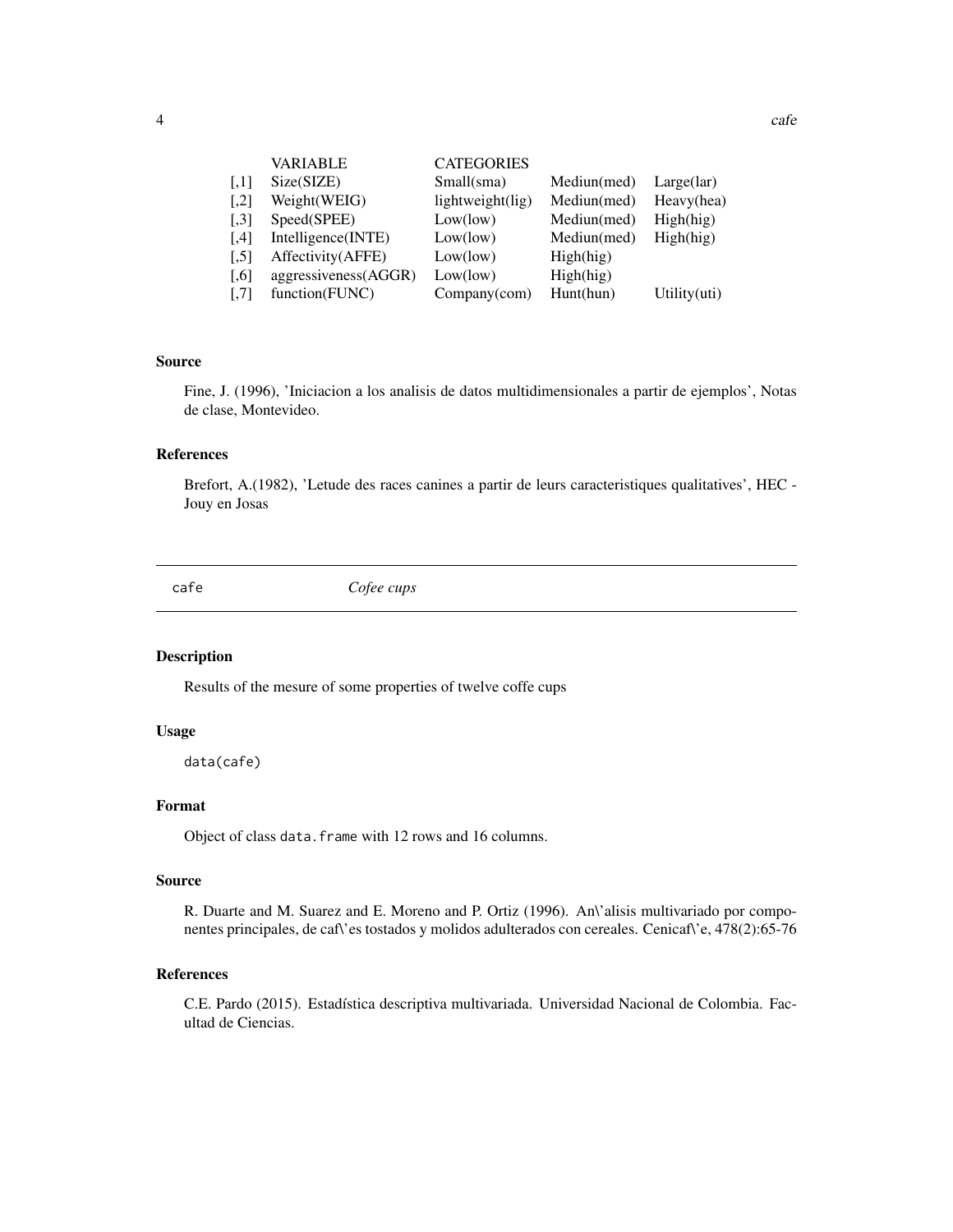| <b>VARIABLE</b> | <b>CATEGORIES</b> |
|-----------------|-------------------|
|                 |                   |

<span id="page-3-0"></span>

| $\left\lceil .1 \right\rceil$ | Size(SIZE)           | Small(sma)       | Mediun(med) | Large(lar)                |
|-------------------------------|----------------------|------------------|-------------|---------------------------|
| $\left[ 2 \right]$            | Weight(WEIG)         | lightweight(lig) | Mediun(med) | Heavy(hea)                |
| $\left[ 0.3\right]$           | Speed(SPEE)          | Low(low)         | Mediun(med) | High(hig)                 |
| [4]                           | Intelligence(INTE)   | Low(low)         | Mediun(med) | High(hig)                 |
| $\left[ .5 \right]$           | Affectivity (AFFE)   | Low(low)         | High(hig)   |                           |
| $\left[ 0.6\right]$           | aggressiveness(AGGR) | Low(low)         | High(hig)   |                           |
| $[.7]$                        | function(FUNC)       | $Company$ (com)  | Hunt(hun)   | Utility $(\overline{u}t)$ |

#### Source

Fine, J. (1996), 'Iniciacion a los analisis de datos multidimensionales a partir de ejemplos', Notas de clase, Montevideo.

# References

Brefort, A.(1982), 'Letude des races canines a partir de leurs caracteristiques qualitatives', HEC - Jouy en Josas

cafe *Cofee cups*

#### Description

Results of the mesure of some properties of twelve coffe cups

#### Usage

data(cafe)

# Format

Object of class data.frame with 12 rows and 16 columns.

# Source

R. Duarte and M. Suarez and E. Moreno and P. Ortiz (1996). An'alisis multivariado por componentes principales, de caf\'es tostados y molidos adulterados con cereales. Cenicaf\'e, 478(2):65-76

# References

C.E. Pardo (2015). Estadística descriptiva multivariada. Universidad Nacional de Colombia. Facultad de Ciencias.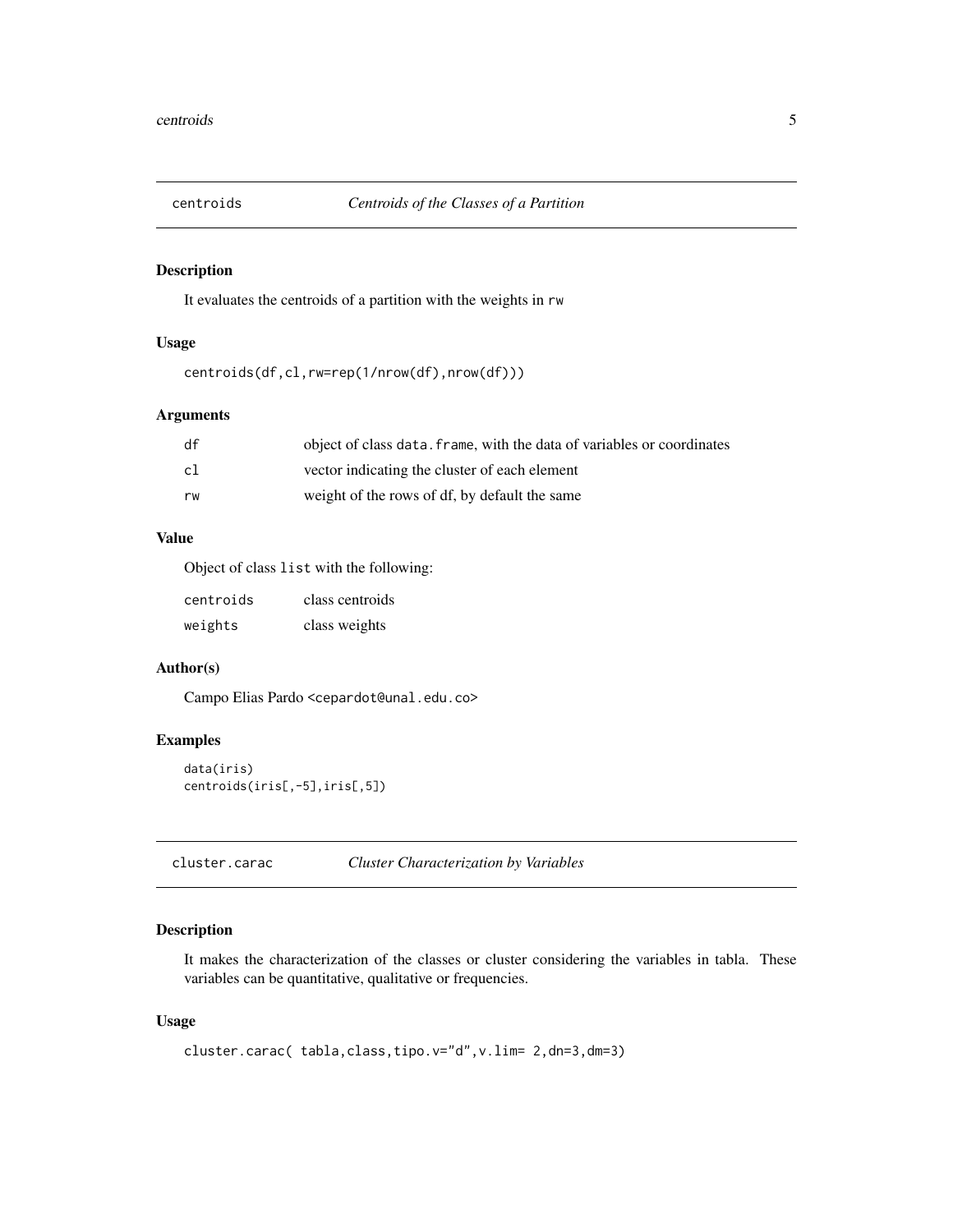<span id="page-4-0"></span>

It evaluates the centroids of a partition with the weights in rw

# Usage

```
centroids(df,cl,rw=rep(1/nrow(df),nrow(df)))
```
# Arguments

| df | object of class data. frame, with the data of variables or coordinates |
|----|------------------------------------------------------------------------|
| c1 | vector indicating the cluster of each element                          |
| rw | weight of the rows of df, by default the same                          |

# Value

Object of class list with the following:

| centroids | class centroids |
|-----------|-----------------|
| weights   | class weights   |

# Author(s)

Campo Elias Pardo <cepardot@unal.edu.co>

# Examples

```
data(iris)
centroids(iris[,-5],iris[,5])
```
cluster.carac *Cluster Characterization by Variables*

# Description

It makes the characterization of the classes or cluster considering the variables in tabla. These variables can be quantitative, qualitative or frequencies.

# Usage

```
cluster.carac( tabla,class,tipo.v="d",v.lim= 2,dn=3,dm=3)
```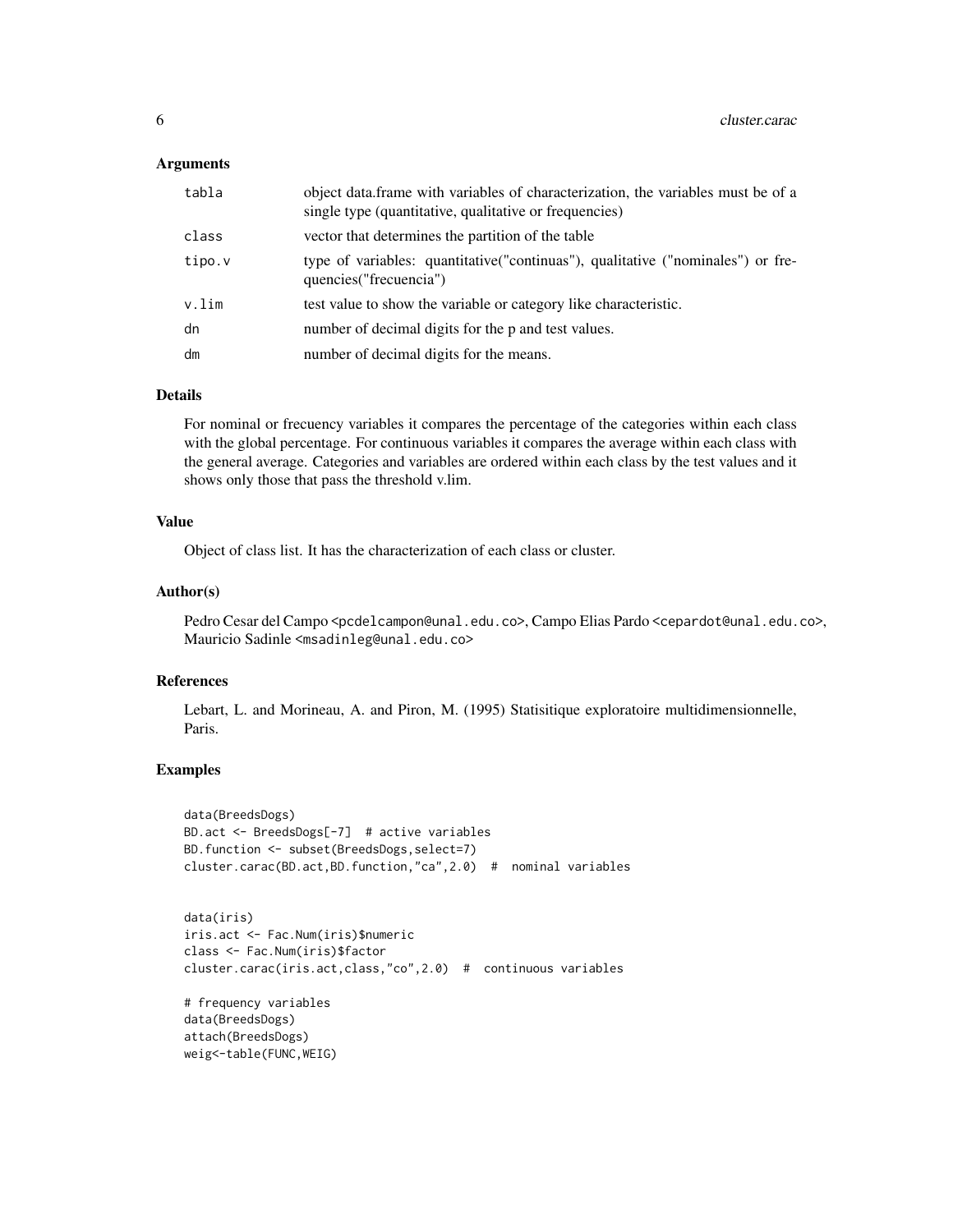#### **Arguments**

| tabla  | object data. frame with variables of characterization, the variables must be of a<br>single type (quantitative, qualitative or frequencies) |
|--------|---------------------------------------------------------------------------------------------------------------------------------------------|
| class  | vector that determines the partition of the table                                                                                           |
| tipo.v | type of variables: quantitative("continuas"), qualitative ("nominales") or fre-<br>quencies ("frecuencia")                                  |
| v.lim  | test value to show the variable or category like characteristic.                                                                            |
| dn     | number of decimal digits for the p and test values.                                                                                         |
| dm     | number of decimal digits for the means.                                                                                                     |

# Details

For nominal or frecuency variables it compares the percentage of the categories within each class with the global percentage. For continuous variables it compares the average within each class with the general average. Categories and variables are ordered within each class by the test values and it shows only those that pass the threshold v.lim.

#### Value

Object of class list. It has the characterization of each class or cluster.

#### Author(s)

Pedro Cesar del Campo <pcdelcampon@unal.edu.co>, Campo Elias Pardo <cepardot@unal.edu.co>, Mauricio Sadinle <msadinleg@unal.edu.co>

#### References

Lebart, L. and Morineau, A. and Piron, M. (1995) Statisitique exploratoire multidimensionnelle, Paris.

```
data(BreedsDogs)
BD.act <- BreedsDogs[-7] # active variables
BD.function <- subset(BreedsDogs,select=7)
cluster.carac(BD.act,BD.function,"ca",2.0) # nominal variables
```

```
data(iris)
iris.act <- Fac.Num(iris)$numeric
class <- Fac.Num(iris)$factor
cluster.carac(iris.act,class,"co",2.0) # continuous variables
```

```
# frequency variables
data(BreedsDogs)
attach(BreedsDogs)
weig<-table(FUNC,WEIG)
```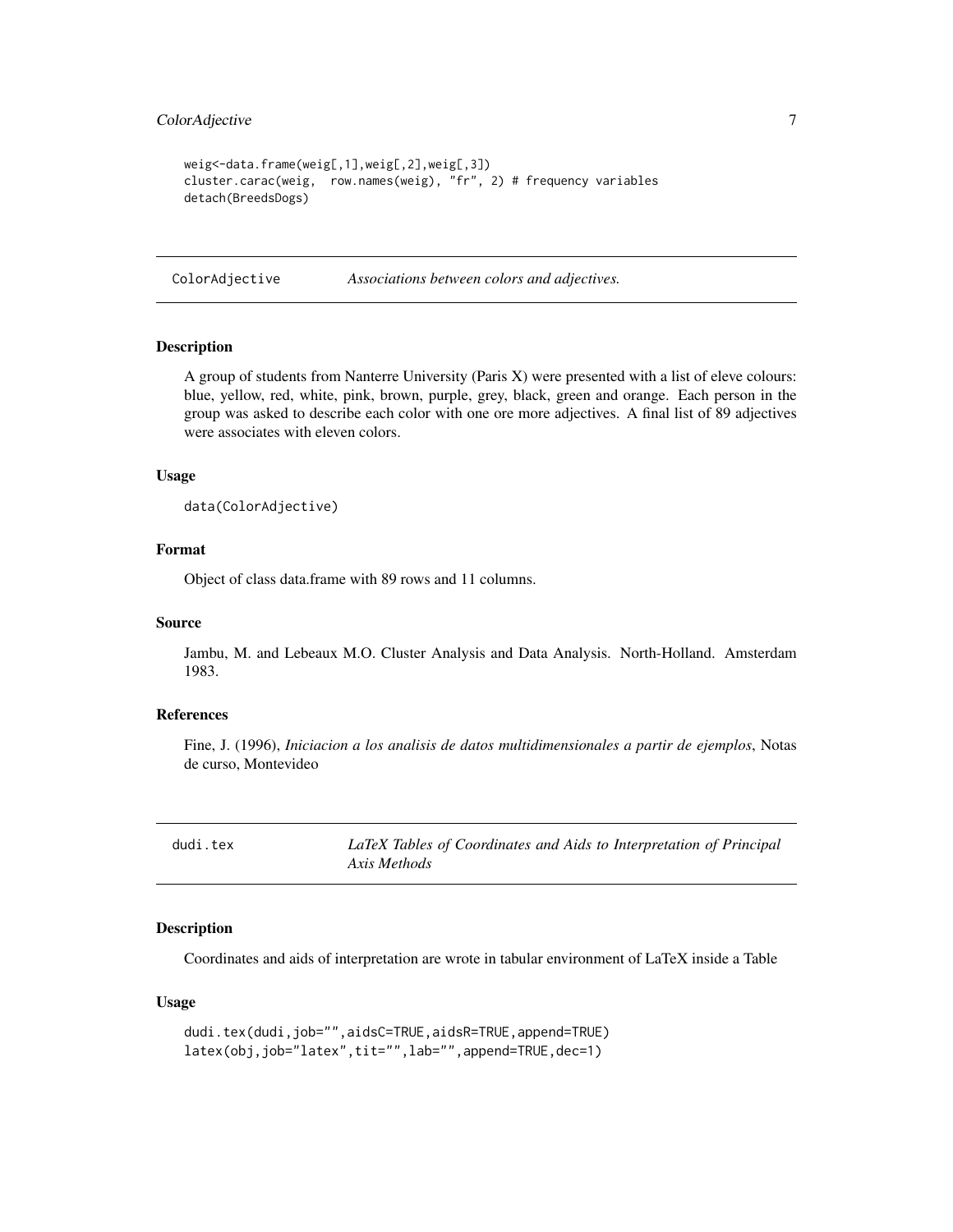# <span id="page-6-0"></span>ColorAdjective 7

```
weig<-data.frame(weig[,1],weig[,2],weig[,3])
cluster.carac(weig, row.names(weig), "fr", 2) # frequency variables
detach(BreedsDogs)
```
ColorAdjective *Associations between colors and adjectives.*

#### Description

A group of students from Nanterre University (Paris X) were presented with a list of eleve colours: blue, yellow, red, white, pink, brown, purple, grey, black, green and orange. Each person in the group was asked to describe each color with one ore more adjectives. A final list of 89 adjectives were associates with eleven colors.

#### Usage

data(ColorAdjective)

#### Format

Object of class data.frame with 89 rows and 11 columns.

#### Source

Jambu, M. and Lebeaux M.O. Cluster Analysis and Data Analysis. North-Holland. Amsterdam 1983.

#### References

Fine, J. (1996), *Iniciacion a los analisis de datos multidimensionales a partir de ejemplos*, Notas de curso, Montevideo

dudi.tex *LaTeX Tables of Coordinates and Aids to Interpretation of Principal Axis Methods*

#### Description

Coordinates and aids of interpretation are wrote in tabular environment of LaTeX inside a Table

#### Usage

```
dudi.tex(dudi,job="",aidsC=TRUE,aidsR=TRUE,append=TRUE)
latex(obj,job="latex",tit="",lab="",append=TRUE,dec=1)
```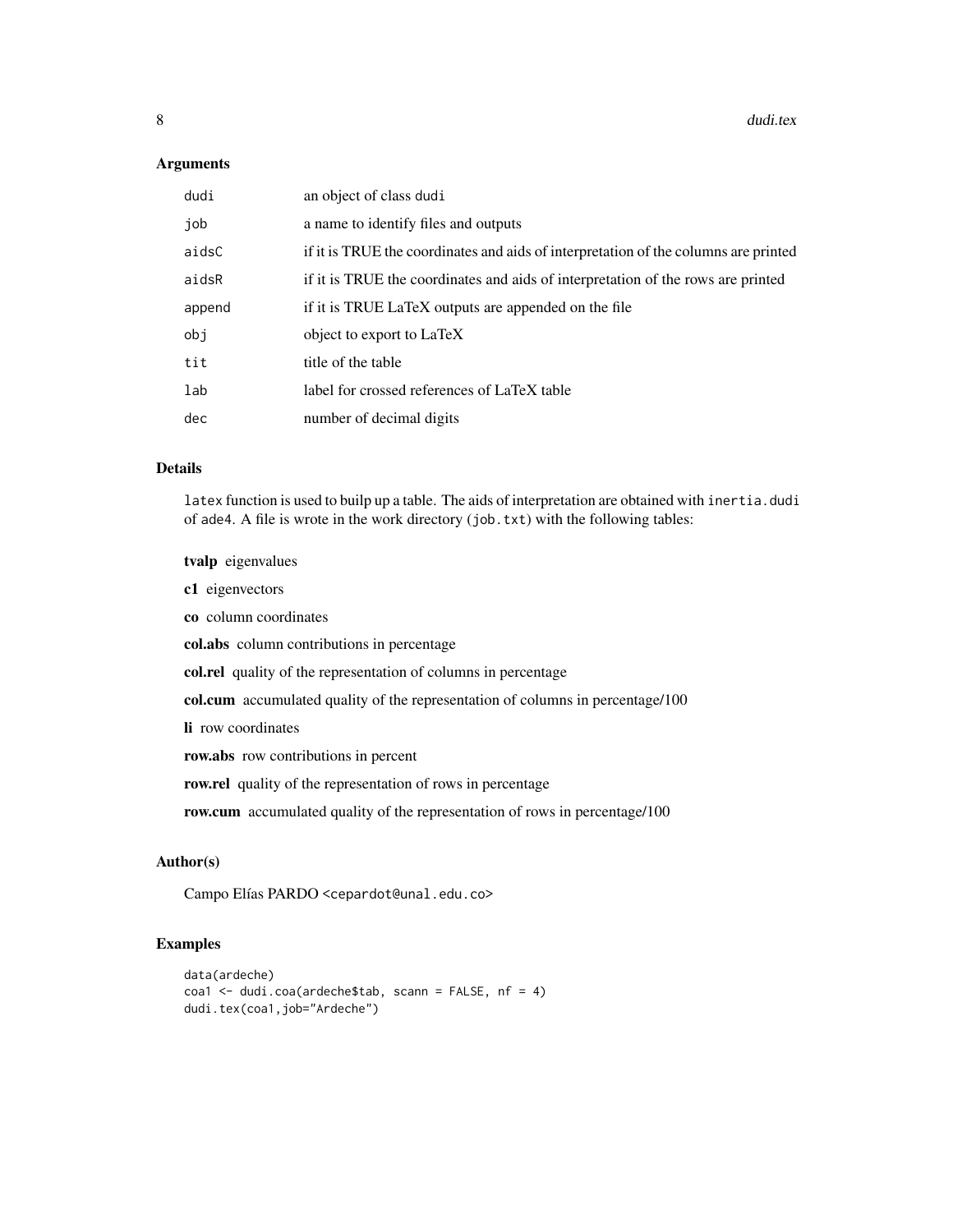#### Arguments

| dudi   | an object of class dudi                                                             |
|--------|-------------------------------------------------------------------------------------|
| job    | a name to identify files and outputs                                                |
| aidsC  | if it is TRUE the coordinates and aids of interpretation of the columns are printed |
| aidsR  | if it is TRUE the coordinates and aids of interpretation of the rows are printed    |
| append | if it is TRUE LaTeX outputs are appended on the file                                |
| obj    | object to export to LaTeX                                                           |
| tit    | title of the table                                                                  |
| lab    | label for crossed references of LaTeX table                                         |
| dec    | number of decimal digits                                                            |

#### Details

latex function is used to builp up a table. The aids of interpretation are obtained with inertia.dudi of ade4. A file is wrote in the work directory (job.txt) with the following tables:

tvalp eigenvalues

c1 eigenvectors

co column coordinates

col.abs column contributions in percentage

col.rel quality of the representation of columns in percentage

col.cum accumulated quality of the representation of columns in percentage/100

li row coordinates

row.abs row contributions in percent

row.rel quality of the representation of rows in percentage

row.cum accumulated quality of the representation of rows in percentage/100

# Author(s)

Campo Elías PARDO <cepardot@unal.edu.co>

```
data(ardeche)
coa1 <- dudi.coa(ardeche$tab, scann = FALSE, nf = 4)
dudi.tex(coa1,job="Ardeche")
```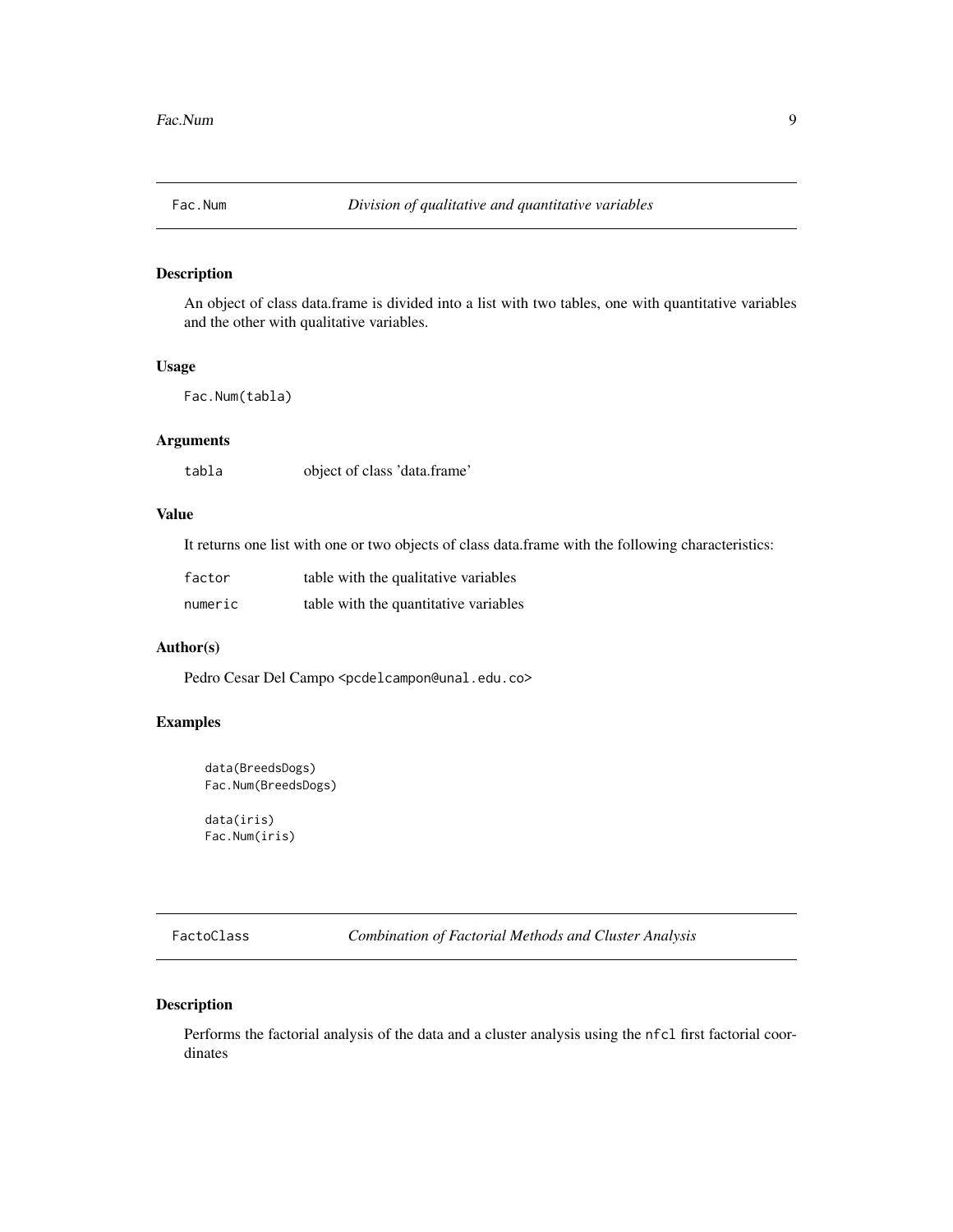<span id="page-8-0"></span>

An object of class data.frame is divided into a list with two tables, one with quantitative variables and the other with qualitative variables.

#### Usage

Fac.Num(tabla)

# Arguments

tabla object of class 'data.frame'

## Value

It returns one list with one or two objects of class data.frame with the following characteristics:

| factor  | table with the qualitative variables  |
|---------|---------------------------------------|
| numeric | table with the quantitative variables |

# Author(s)

Pedro Cesar Del Campo <pcdelcampon@unal.edu.co>

#### Examples

```
data(BreedsDogs)
Fac.Num(BreedsDogs)
```
data(iris) Fac.Num(iris)

<span id="page-8-1"></span>FactoClass *Combination of Factorial Methods and Cluster Analysis*

# Description

Performs the factorial analysis of the data and a cluster analysis using the nfcl first factorial coordinates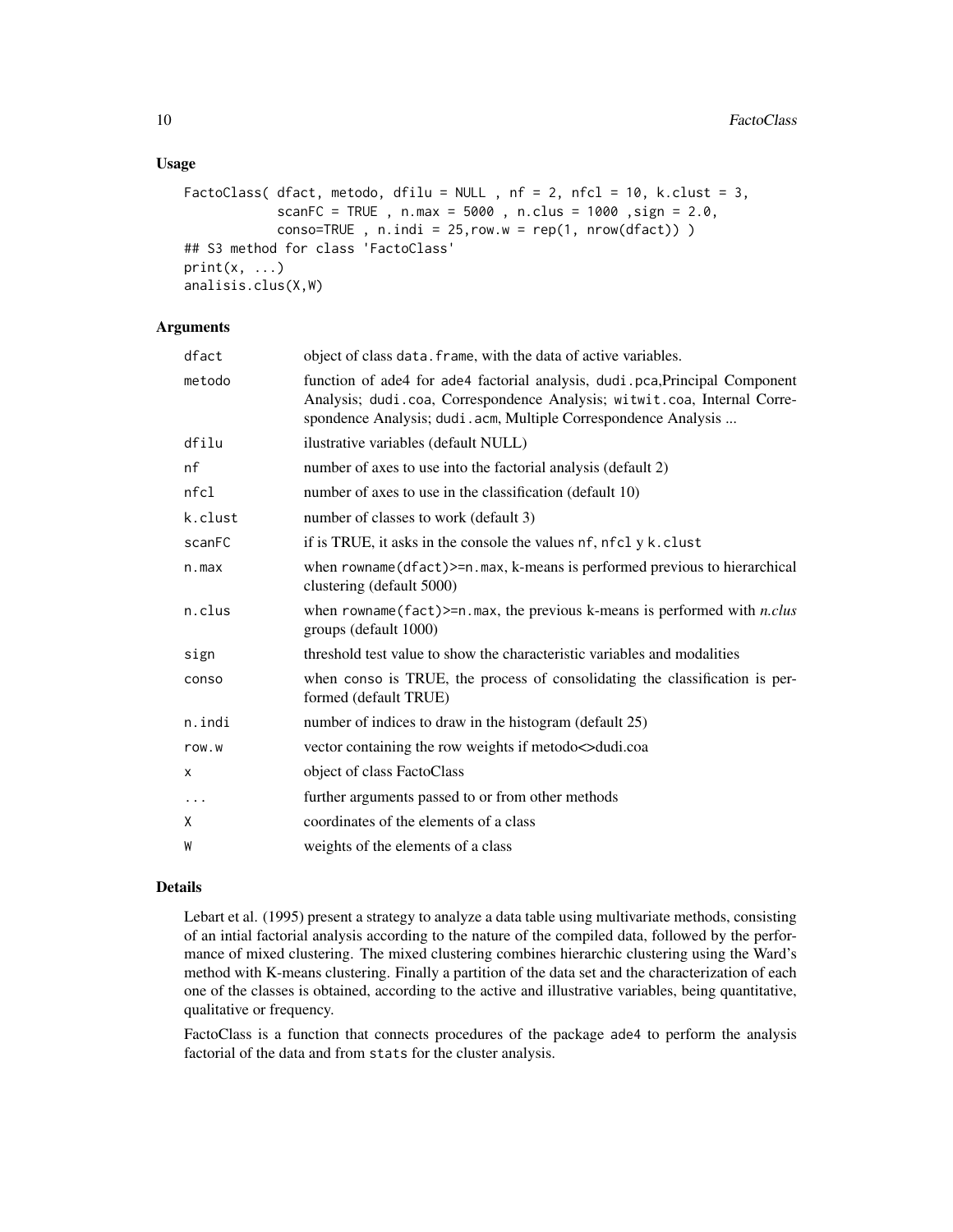# Usage

```
FactoClass( dfact, metodo, dfilu = NULL, nf = 2, nfcl = 10, k.clust = 3,
            scanFC = TRUE, n.max = 5000, n.class = 1000, sign = 2.0,
            conso=TRUE, n.indi = 25, row.w = rep(1, nrow(dfact)))
## S3 method for class 'FactoClass'
print(x, \ldots)analisis.clus(X,W)
```
# Arguments

| dfact    | object of class data. frame, with the data of active variables.                                                                                                                                                           |
|----------|---------------------------------------------------------------------------------------------------------------------------------------------------------------------------------------------------------------------------|
| metodo   | function of ade4 for ade4 factorial analysis, dudi.pca, Principal Component<br>Analysis; dudi.coa, Correspondence Analysis; witwit.coa, Internal Corre-<br>spondence Analysis; dudi.acm, Multiple Correspondence Analysis |
| dfilu    | ilustrative variables (default NULL)                                                                                                                                                                                      |
| nf       | number of axes to use into the factorial analysis (default 2)                                                                                                                                                             |
| nfcl     | number of axes to use in the classification (default 10)                                                                                                                                                                  |
| k.clust  | number of classes to work (default 3)                                                                                                                                                                                     |
| scanFC   | if is TRUE, it asks in the console the values nf, nfcl y k.clust                                                                                                                                                          |
| n.max    | when $rowname(dfact) \geq n.max$ , k-means is performed previous to hierarchical<br>clustering (default 5000)                                                                                                             |
| n.clus   | when rowname (fact) >= $n$ . max, the previous k-means is performed with <i>n.clus</i><br>groups (default 1000)                                                                                                           |
| sign     | threshold test value to show the characteristic variables and modalities                                                                                                                                                  |
| conso    | when conso is TRUE, the process of consolidating the classification is per-<br>formed (default TRUE)                                                                                                                      |
| n.indi   | number of indices to draw in the histogram (default 25)                                                                                                                                                                   |
| row.w    | vector containing the row weights if metodo $\lt$ dudi.coa                                                                                                                                                                |
| X        | object of class FactoClass                                                                                                                                                                                                |
| $\ddots$ | further arguments passed to or from other methods                                                                                                                                                                         |
| Χ        | coordinates of the elements of a class                                                                                                                                                                                    |
| W        | weights of the elements of a class                                                                                                                                                                                        |
|          |                                                                                                                                                                                                                           |

#### Details

Lebart et al. (1995) present a strategy to analyze a data table using multivariate methods, consisting of an intial factorial analysis according to the nature of the compiled data, followed by the performance of mixed clustering. The mixed clustering combines hierarchic clustering using the Ward's method with K-means clustering. Finally a partition of the data set and the characterization of each one of the classes is obtained, according to the active and illustrative variables, being quantitative, qualitative or frequency.

FactoClass is a function that connects procedures of the package ade4 to perform the analysis factorial of the data and from stats for the cluster analysis.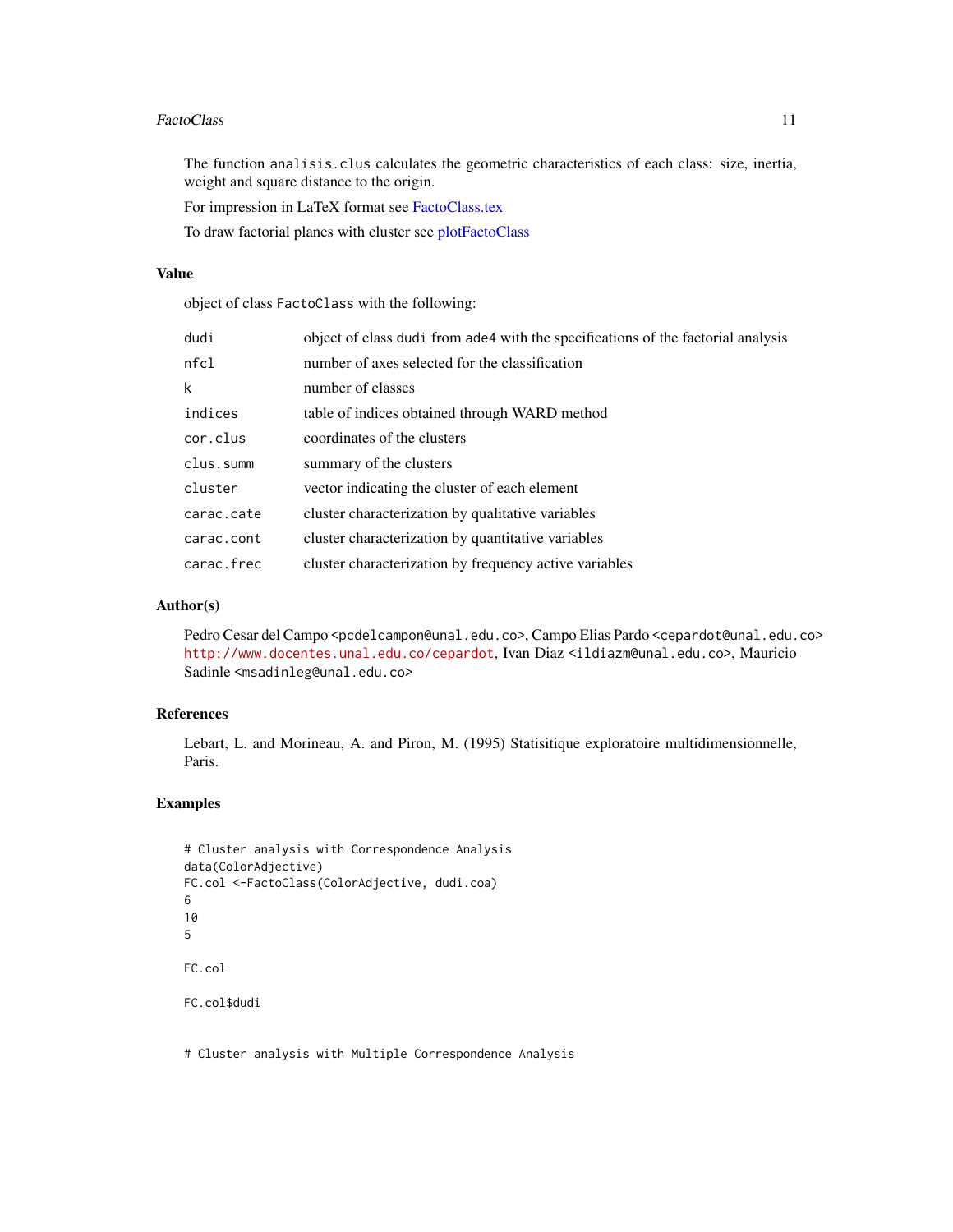#### <span id="page-10-0"></span>FactoClass 11

The function analisis.clus calculates the geometric characteristics of each class: size, inertia, weight and square distance to the origin.

For impression in LaTeX format see [FactoClass.tex](#page-11-1)

To draw factorial planes with cluster see [plotFactoClass](#page-18-1)

# Value

object of class FactoClass with the following:

| dudi       | object of class dudi from ade4 with the specifications of the factorial analysis |
|------------|----------------------------------------------------------------------------------|
| nfc1       | number of axes selected for the classification                                   |
| k          | number of classes                                                                |
| indices    | table of indices obtained through WARD method                                    |
| cor.clus   | coordinates of the clusters                                                      |
| clus.summ  | summary of the clusters                                                          |
| cluster    | vector indicating the cluster of each element                                    |
| carac.cate | cluster characterization by qualitative variables                                |
| carac.cont | cluster characterization by quantitative variables                               |
| carac.frec | cluster characterization by frequency active variables                           |
|            |                                                                                  |

# Author(s)

Pedro Cesar del Campo <pcdelcampon@unal.edu.co>, Campo Elias Pardo <cepardot@unal.edu.co> <http://www.docentes.unal.edu.co/cepardot>, Ivan Diaz <ildiazm@unal.edu.co>, Mauricio Sadinle <msadinleg@unal.edu.co>

#### References

Lebart, L. and Morineau, A. and Piron, M. (1995) Statisitique exploratoire multidimensionnelle, Paris.

# Examples

```
# Cluster analysis with Correspondence Analysis
data(ColorAdjective)
FC.col <-FactoClass(ColorAdjective, dudi.coa)
6
10
5
FC.col
FC.col$dudi
```
# Cluster analysis with Multiple Correspondence Analysis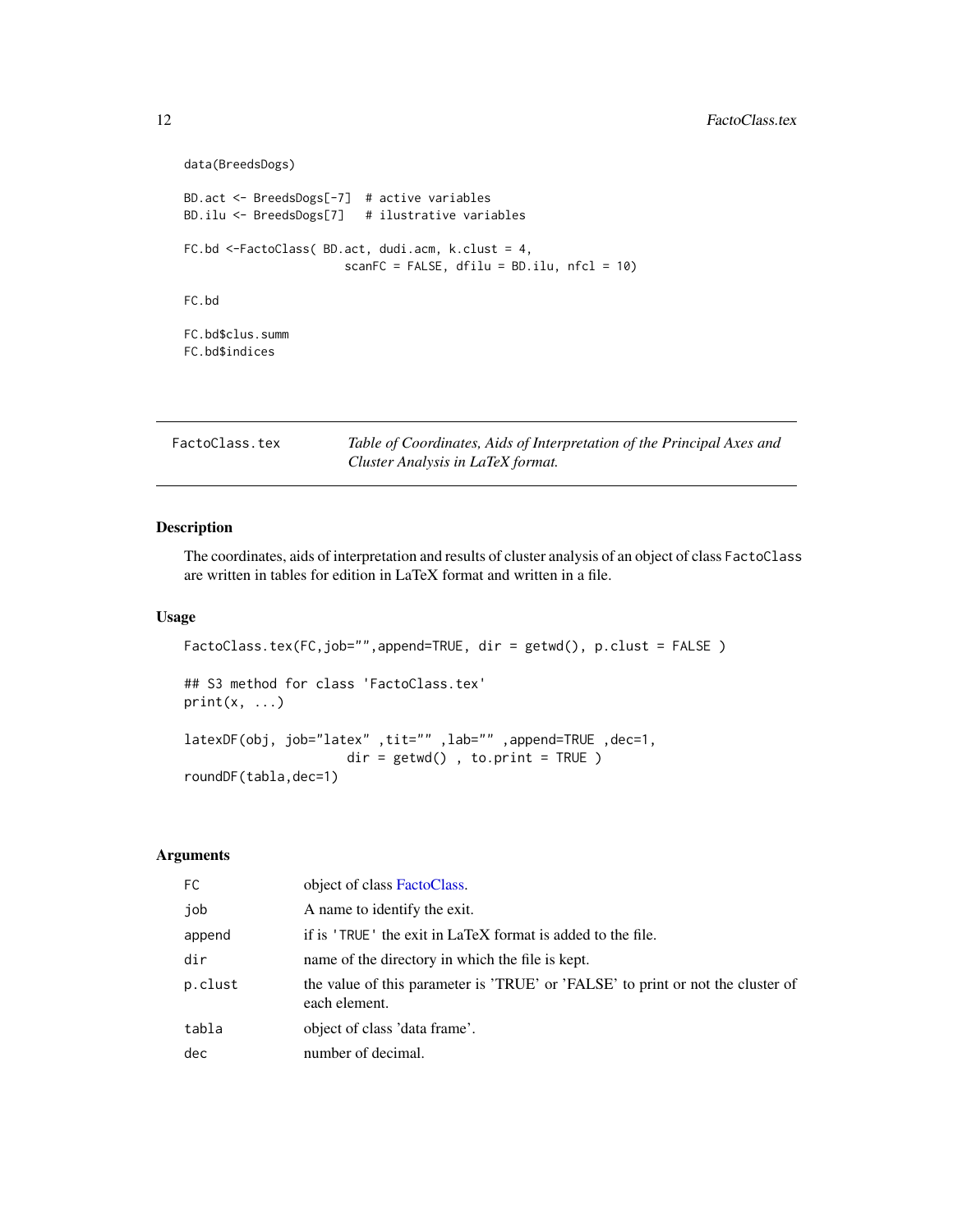```
data(BreedsDogs)
BD.act <- BreedsDogs[-7] # active variables
BD.ilu <- BreedsDogs[7] # ilustrative variables
FC.bd <-FactoClass( BD.act, dudi.acm, k.clust = 4,
                      scanFC = FALSE, dfilu = BD.ilu, nfc1 = 10)FC.bd
FC.bd$clus.summ
FC.bd$indices
```
<span id="page-11-1"></span>

| FactoClass.tex | Table of Coordinates, Aids of Interpretation of the Principal Axes and |
|----------------|------------------------------------------------------------------------|
|                | Cluster Analysis in LaTeX format.                                      |

The coordinates, aids of interpretation and results of cluster analysis of an object of class FactoClass are written in tables for edition in LaTeX format and written in a file.

# Usage

```
FactoClass.tex(FC,job="",append=TRUE, dir = getwd(), p.clust = FALSE)
## S3 method for class 'FactoClass.tex'
print(x, \ldots)latexDF(obj, job="latex" ,tit="" ,lab="" ,append=TRUE ,dec=1,
                     dir = getwd(), to.print = TRUE)
roundDF(tabla,dec=1)
```
# Arguments

| FC.     | object of class FactoClass.                                                                      |
|---------|--------------------------------------------------------------------------------------------------|
| job     | A name to identify the exit.                                                                     |
| append  | if is 'TRUE' the exit in LaTeX format is added to the file.                                      |
| dir     | name of the directory in which the file is kept.                                                 |
| p.clust | the value of this parameter is 'TRUE' or 'FALSE' to print or not the cluster of<br>each element. |
| tabla   | object of class 'data frame'.                                                                    |
| dec     | number of decimal.                                                                               |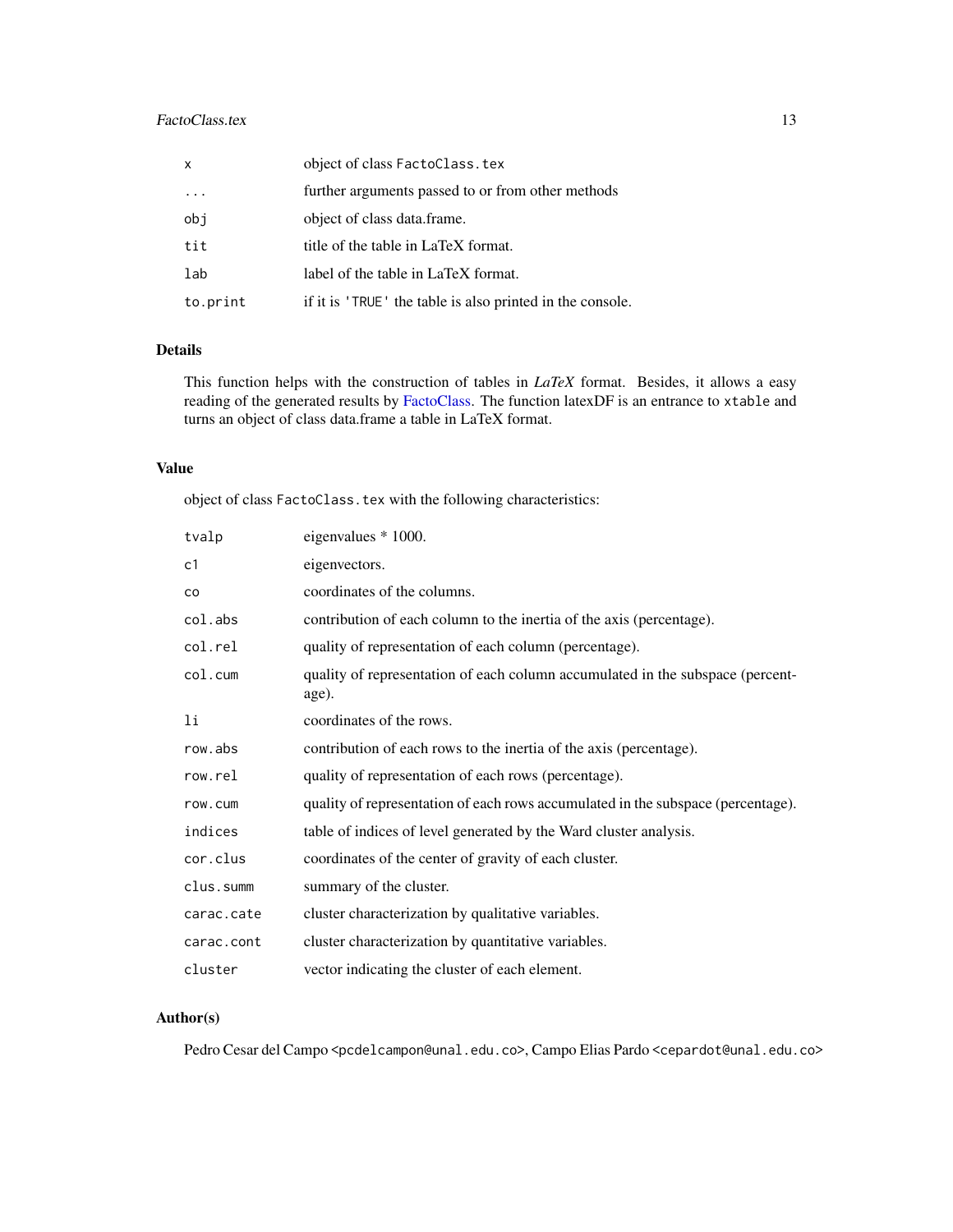# <span id="page-12-0"></span>FactoClass.tex 13

| $\mathsf{x}$ | object of class FactoClass.tex                            |
|--------------|-----------------------------------------------------------|
| $\cdot$      | further arguments passed to or from other methods         |
| obj          | object of class data.frame.                               |
| tit          | title of the table in LaTeX format.                       |
| lab          | label of the table in LaTeX format.                       |
| to.print     | if it is 'TRUE' the table is also printed in the console. |

# Details

This function helps with the construction of tables in *LaTeX* format. Besides, it allows a easy reading of the generated results by [FactoClass.](#page-8-1) The function latexDF is an entrance to xtable and turns an object of class data.frame a table in LaTeX format.

# Value

object of class FactoClass.tex with the following characteristics:

| tvalp      | eigenvalues * 1000.                                                                     |
|------------|-----------------------------------------------------------------------------------------|
| c1         | eigenvectors.                                                                           |
| co         | coordinates of the columns.                                                             |
| col.abs    | contribution of each column to the inertia of the axis (percentage).                    |
| col.rel    | quality of representation of each column (percentage).                                  |
| col.cum    | quality of representation of each column accumulated in the subspace (percent-<br>age). |
| 1i         | coordinates of the rows.                                                                |
| row.abs    | contribution of each rows to the inertia of the axis (percentage).                      |
| row.rel    | quality of representation of each rows (percentage).                                    |
| row.cum    | quality of representation of each rows accumulated in the subspace (percentage).        |
| indices    | table of indices of level generated by the Ward cluster analysis.                       |
| cor.clus   | coordinates of the center of gravity of each cluster.                                   |
| clus.summ  | summary of the cluster.                                                                 |
| carac.cate | cluster characterization by qualitative variables.                                      |
| carac.cont | cluster characterization by quantitative variables.                                     |
| cluster    | vector indicating the cluster of each element.                                          |

# Author(s)

Pedro Cesar del Campo <pcdelcampon@unal.edu.co>, Campo Elias Pardo <cepardot@unal.edu.co>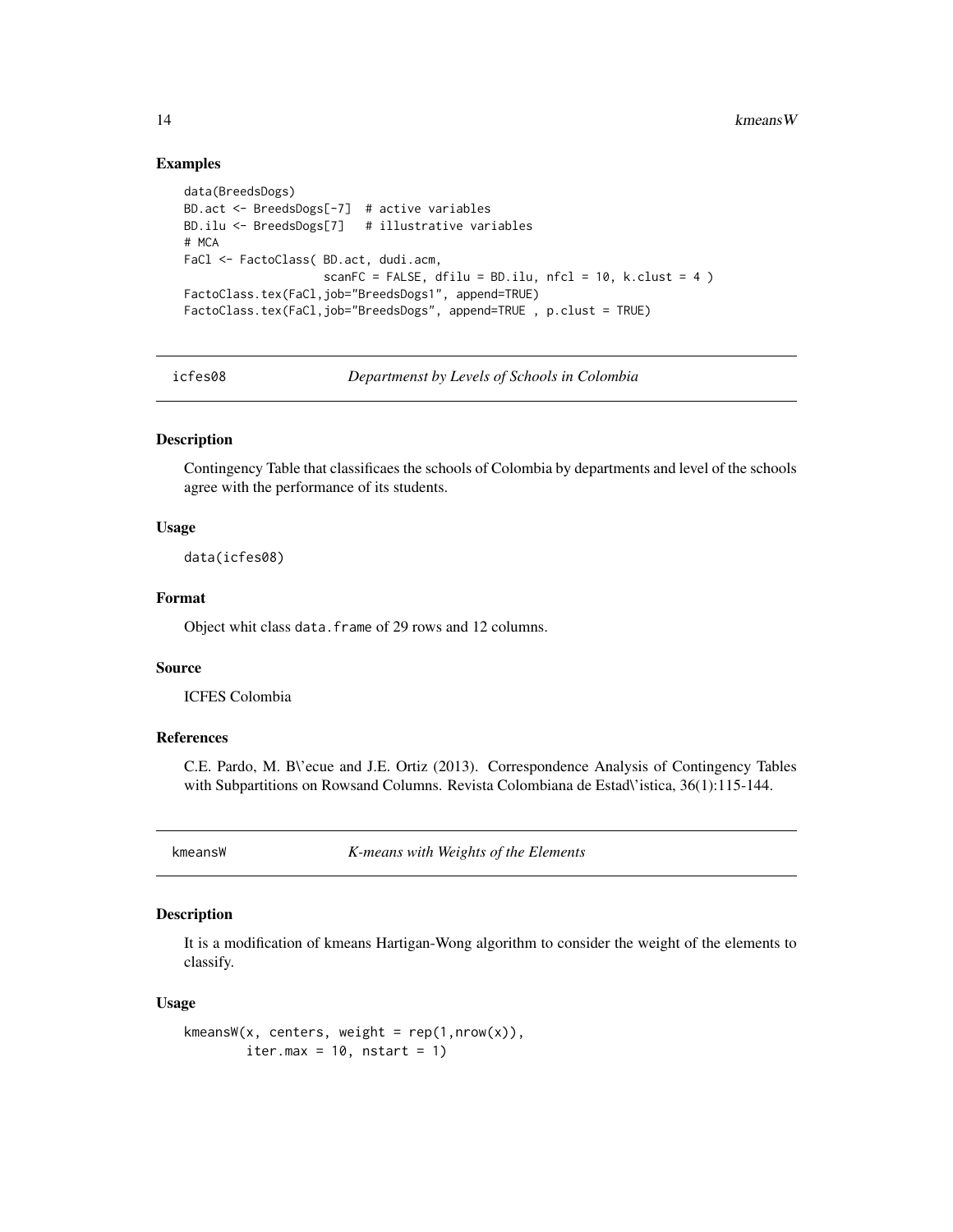#### Examples

```
data(BreedsDogs)
BD.act <- BreedsDogs[-7] # active variables
BD.ilu <- BreedsDogs[7] # illustrative variables
# MCA
FaCl <- FactoClass( BD.act, dudi.acm,
                   scanFC = FALSE, dfilu = BD.ilu, nfcl = 10, k.clust = 4 )
FactoClass.tex(FaCl,job="BreedsDogs1", append=TRUE)
FactoClass.tex(FaCl,job="BreedsDogs", append=TRUE , p.clust = TRUE)
```
icfes08 *Departmenst by Levels of Schools in Colombia*

#### Description

Contingency Table that classificaes the schools of Colombia by departments and level of the schools agree with the performance of its students.

#### Usage

data(icfes08)

# Format

Object whit class data.frame of 29 rows and 12 columns.

#### Source

ICFES Colombia

#### References

C.E. Pardo, M. B\'ecue and J.E. Ortiz (2013). Correspondence Analysis of Contingency Tables with Subpartitions on Rowsand Columns. Revista Colombiana de Estad\'istica, 36(1):115-144.

kmeansW *K-means with Weights of the Elements*

# Description

It is a modification of kmeans Hartigan-Wong algorithm to consider the weight of the elements to classify.

#### Usage

```
kmeansW(x, centers, weight = rep(1,nrow(x)),
       iter.max = 10, nstart = 1)
```
<span id="page-13-0"></span>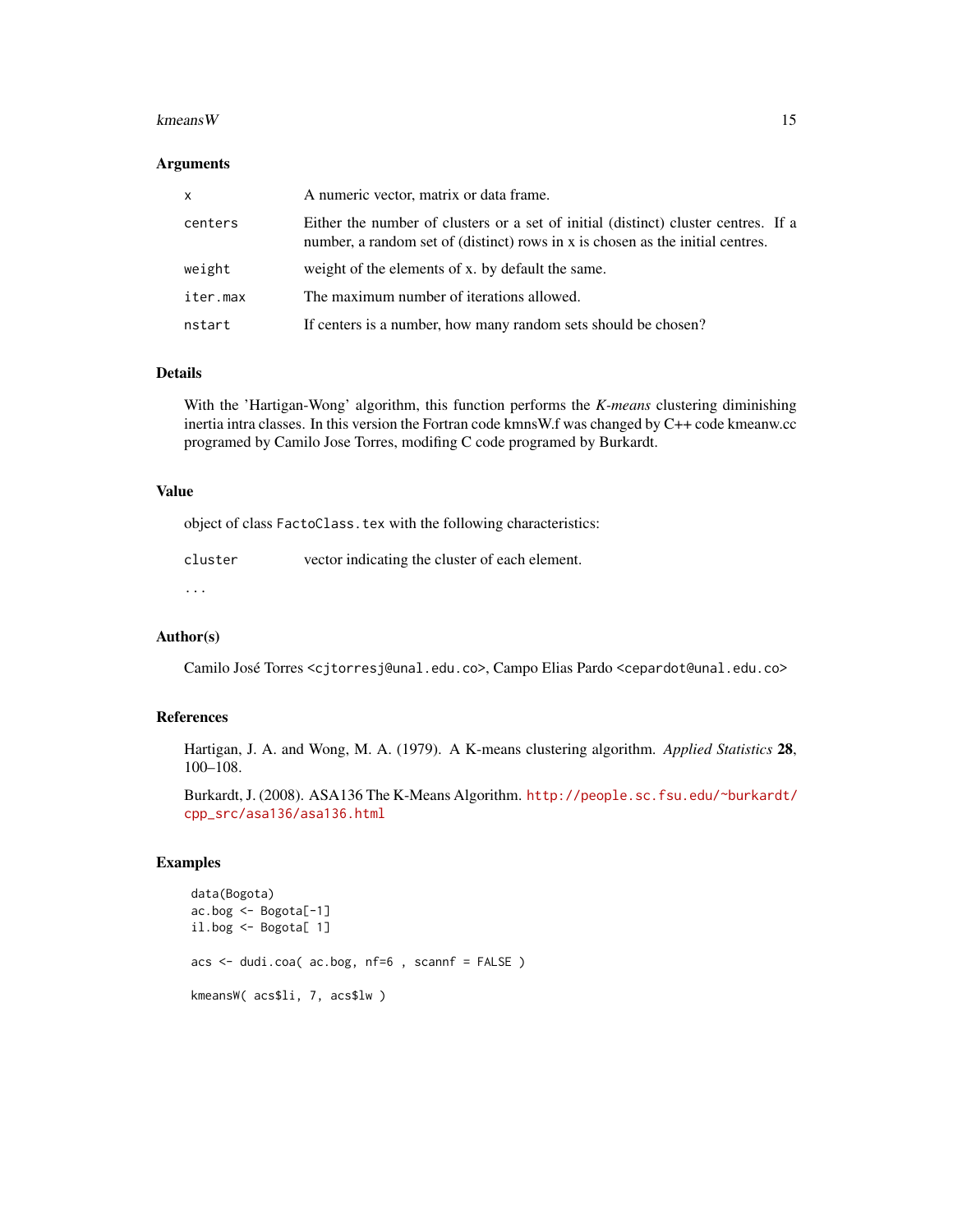#### kmeans W  $15$

#### Arguments

| x        | A numeric vector, matrix or data frame.                                                                                                                              |
|----------|----------------------------------------------------------------------------------------------------------------------------------------------------------------------|
| centers  | Either the number of clusters or a set of initial (distinct) cluster centres. If a<br>number, a random set of (distinct) rows in x is chosen as the initial centres. |
| weight   | weight of the elements of x. by default the same.                                                                                                                    |
| iter.max | The maximum number of iterations allowed.                                                                                                                            |
| nstart   | If centers is a number, how many random sets should be chosen?                                                                                                       |

# Details

With the 'Hartigan-Wong' algorithm, this function performs the *K-means* clustering diminishing inertia intra classes. In this version the Fortran code kmnsW.f was changed by C++ code kmeanw.cc programed by Camilo Jose Torres, modifing C code programed by Burkardt.

#### Value

object of class FactoClass.tex with the following characteristics:

| cluster | vector indicating the cluster of each element. |
|---------|------------------------------------------------|
|         |                                                |

...

### Author(s)

Camilo José Torres <cjtorresj@unal.edu.co>, Campo Elias Pardo <cepardot@unal.edu.co>

# References

Hartigan, J. A. and Wong, M. A. (1979). A K-means clustering algorithm. *Applied Statistics* 28, 100–108.

Burkardt, J. (2008). ASA136 The K-Means Algorithm. [http://people.sc.fsu.edu/~burkardt/](http://people.sc.fsu.edu/~burkardt/cpp_src/asa136/asa136.html) [cpp\\_src/asa136/asa136.html](http://people.sc.fsu.edu/~burkardt/cpp_src/asa136/asa136.html)

```
data(Bogota)
ac.bog <- Bogota[-1]
il.bog <- Bogota[ 1]
acs <- dudi.coa( ac.bog, nf=6 , scannf = FALSE )
kmeansW( acs$li, 7, acs$lw )
```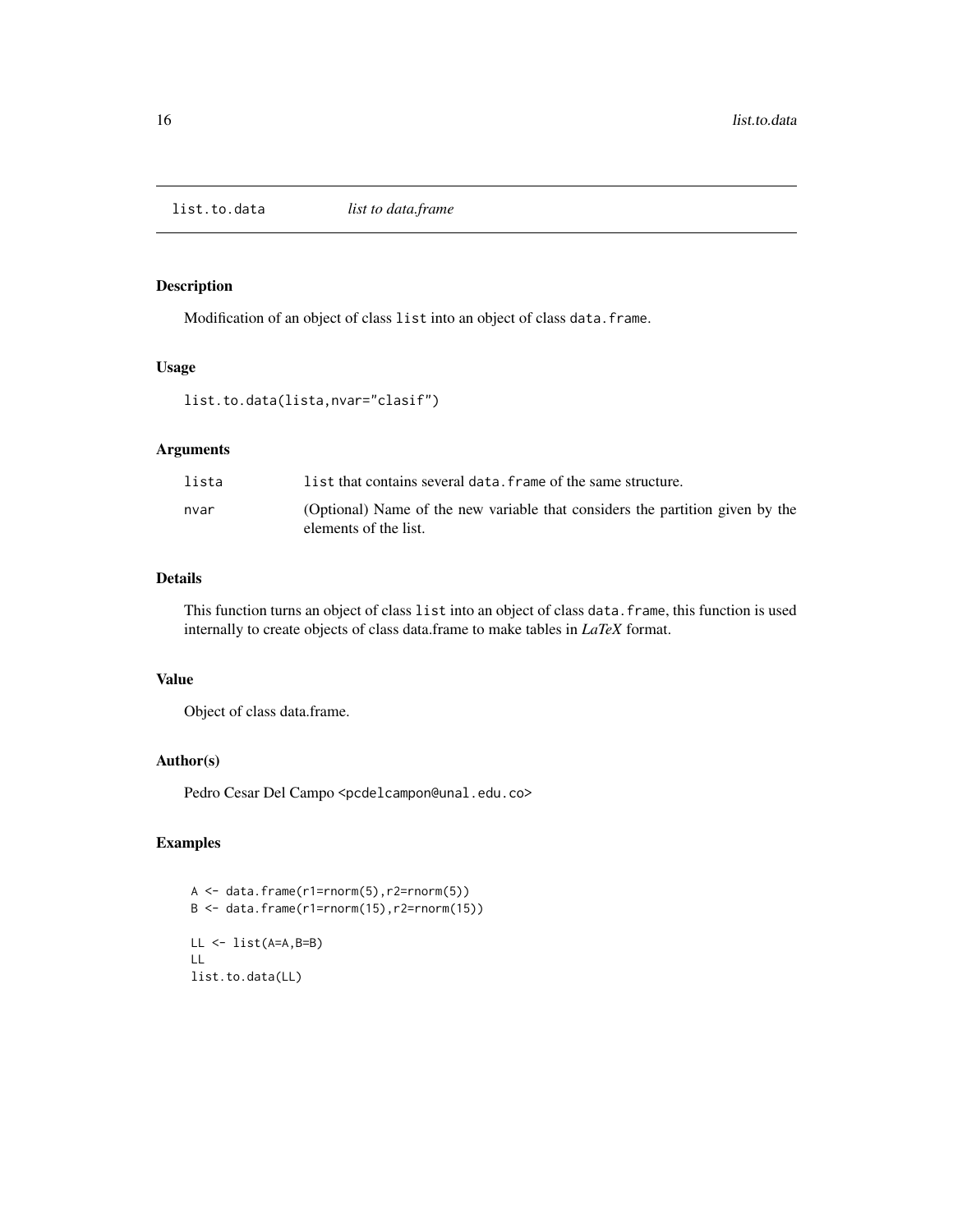<span id="page-15-0"></span>

Modification of an object of class list into an object of class data.frame.

# Usage

```
list.to.data(lista,nvar="clasif")
```
# Arguments

| lista | list that contains several data. frame of the same structure.                                          |
|-------|--------------------------------------------------------------------------------------------------------|
| nvar  | (Optional) Name of the new variable that considers the partition given by the<br>elements of the list. |

#### Details

This function turns an object of class list into an object of class data.frame, this function is used internally to create objects of class data.frame to make tables in *LaTeX* format.

## Value

Object of class data.frame.

# Author(s)

Pedro Cesar Del Campo <pcdelcampon@unal.edu.co>

```
A <- data.frame(r1=rnorm(5),r2=rnorm(5))
B \le - data.frame(r1=rnorm(15),r2=rnorm(15))
LL <- list(A=A,B=B)
LL
list.to.data(LL)
```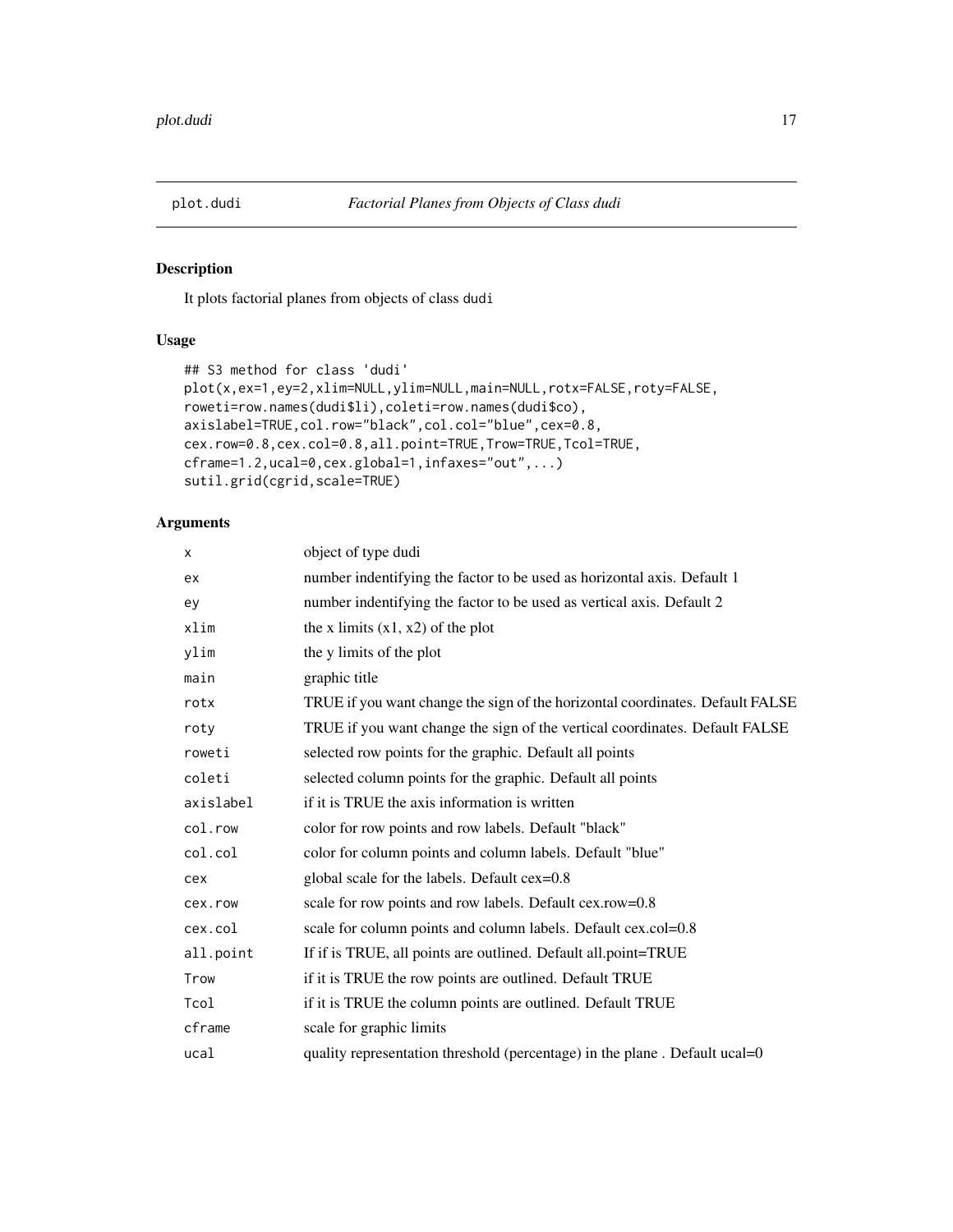<span id="page-16-0"></span>

It plots factorial planes from objects of class dudi

## Usage

```
## S3 method for class 'dudi'
plot(x,ex=1,ey=2,xlim=NULL,ylim=NULL,main=NULL,rotx=FALSE,roty=FALSE,
roweti=row.names(dudi$li),coleti=row.names(dudi$co),
axislabel=TRUE,col.row="black",col.col="blue",cex=0.8,
cex.row=0.8,cex.col=0.8,all.point=TRUE,Trow=TRUE,Tcol=TRUE,
cframe=1.2,ucal=0,cex.global=1,infaxes="out",...)
sutil.grid(cgrid,scale=TRUE)
```
# Arguments

| X         | object of type dudi                                                           |
|-----------|-------------------------------------------------------------------------------|
| ex        | number indentifying the factor to be used as horizontal axis. Default 1       |
| ey        | number indentifying the factor to be used as vertical axis. Default 2         |
| xlim      | the x limits $(x1, x2)$ of the plot                                           |
| ylim      | the y limits of the plot                                                      |
| main      | graphic title                                                                 |
| rotx      | TRUE if you want change the sign of the horizontal coordinates. Default FALSE |
| roty      | TRUE if you want change the sign of the vertical coordinates. Default FALSE   |
| roweti    | selected row points for the graphic. Default all points                       |
| coleti    | selected column points for the graphic. Default all points                    |
| axislabel | if it is TRUE the axis information is written                                 |
| col.row   | color for row points and row labels. Default "black"                          |
| col.col   | color for column points and column labels. Default "blue"                     |
| cex       | global scale for the labels. Default cex=0.8                                  |
| cex.row   | scale for row points and row labels. Default cex.row=0.8                      |
| cex.col   | scale for column points and column labels. Default cex.col=0.8                |
| all.point | If if is TRUE, all points are outlined. Default all point=TRUE                |
| Trow      | if it is TRUE the row points are outlined. Default TRUE                       |
| Tcol      | if it is TRUE the column points are outlined. Default TRUE                    |
| cframe    | scale for graphic limits                                                      |
| ucal      | quality representation threshold (percentage) in the plane. Default ucal=0    |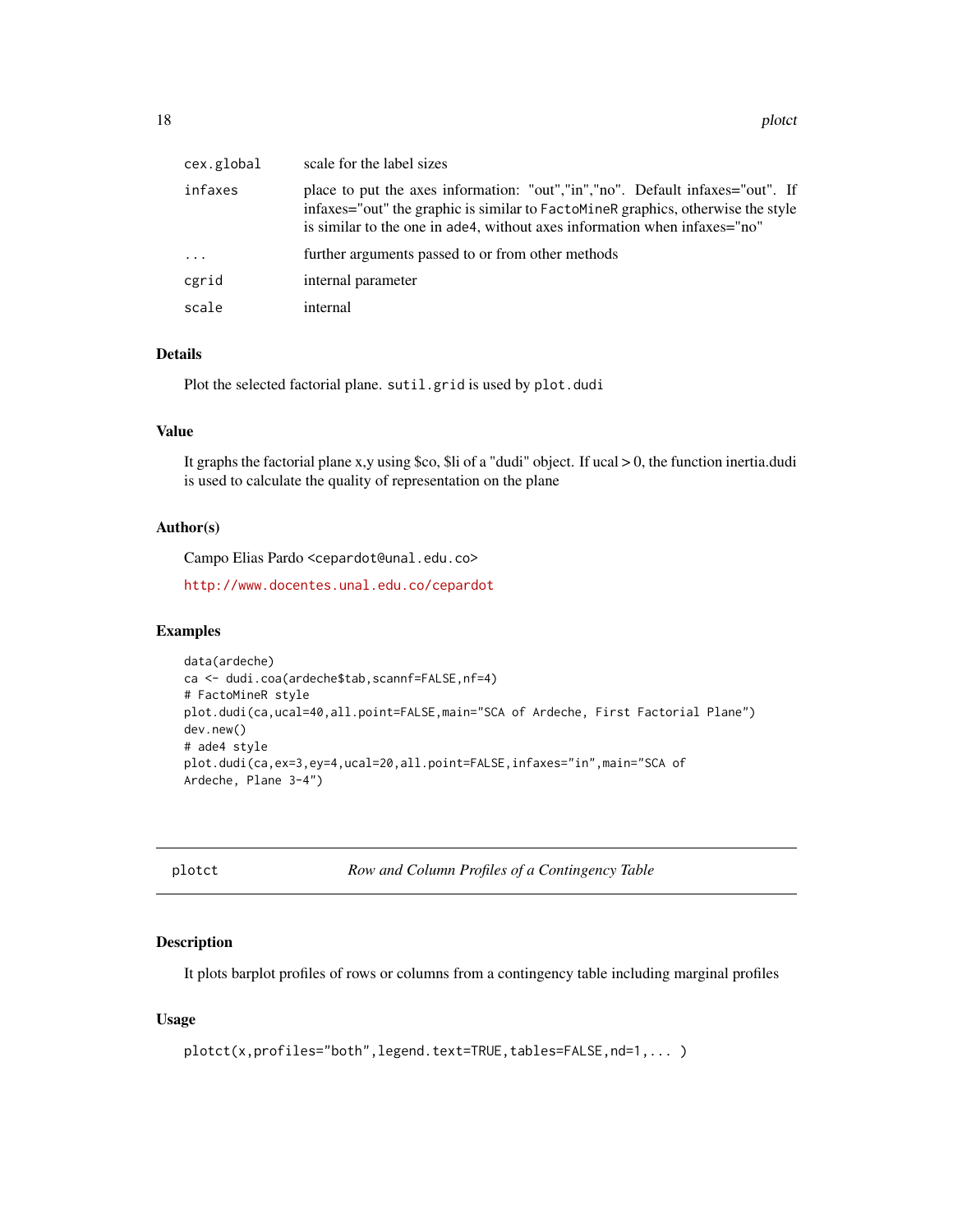<span id="page-17-0"></span>

| cex.global | scale for the label sizes                                                                                                                                                                                                                      |
|------------|------------------------------------------------------------------------------------------------------------------------------------------------------------------------------------------------------------------------------------------------|
| infaxes    | place to put the axes information: "out","in","no". Default infaxes="out". If<br>infaxes="out" the graphic is similar to FactoMineR graphics, otherwise the style<br>is similar to the one in ade4, without axes information when infaxes="no" |
| $\ddots$ . | further arguments passed to or from other methods                                                                                                                                                                                              |
| cgrid      | internal parameter                                                                                                                                                                                                                             |
| scale      | internal                                                                                                                                                                                                                                       |

# Details

Plot the selected factorial plane. sutil.grid is used by plot.dudi

#### Value

It graphs the factorial plane x,y using \$co, \$li of a "dudi" object. If ucal > 0, the function inertia.dudi is used to calculate the quality of representation on the plane

#### Author(s)

Campo Elias Pardo <cepardot@unal.edu.co>

<http://www.docentes.unal.edu.co/cepardot>

#### Examples

```
data(ardeche)
ca <- dudi.coa(ardeche$tab,scannf=FALSE,nf=4)
# FactoMineR style
plot.dudi(ca,ucal=40,all.point=FALSE,main="SCA of Ardeche, First Factorial Plane")
dev.new()
# ade4 style
plot.dudi(ca,ex=3,ey=4,ucal=20,all.point=FALSE,infaxes="in",main="SCA of
Ardeche, Plane 3-4")
```
plotct *Row and Column Profiles of a Contingency Table*

#### Description

It plots barplot profiles of rows or columns from a contingency table including marginal profiles

# Usage

```
plotct(x,profiles="both",legend.text=TRUE,tables=FALSE,nd=1,... )
```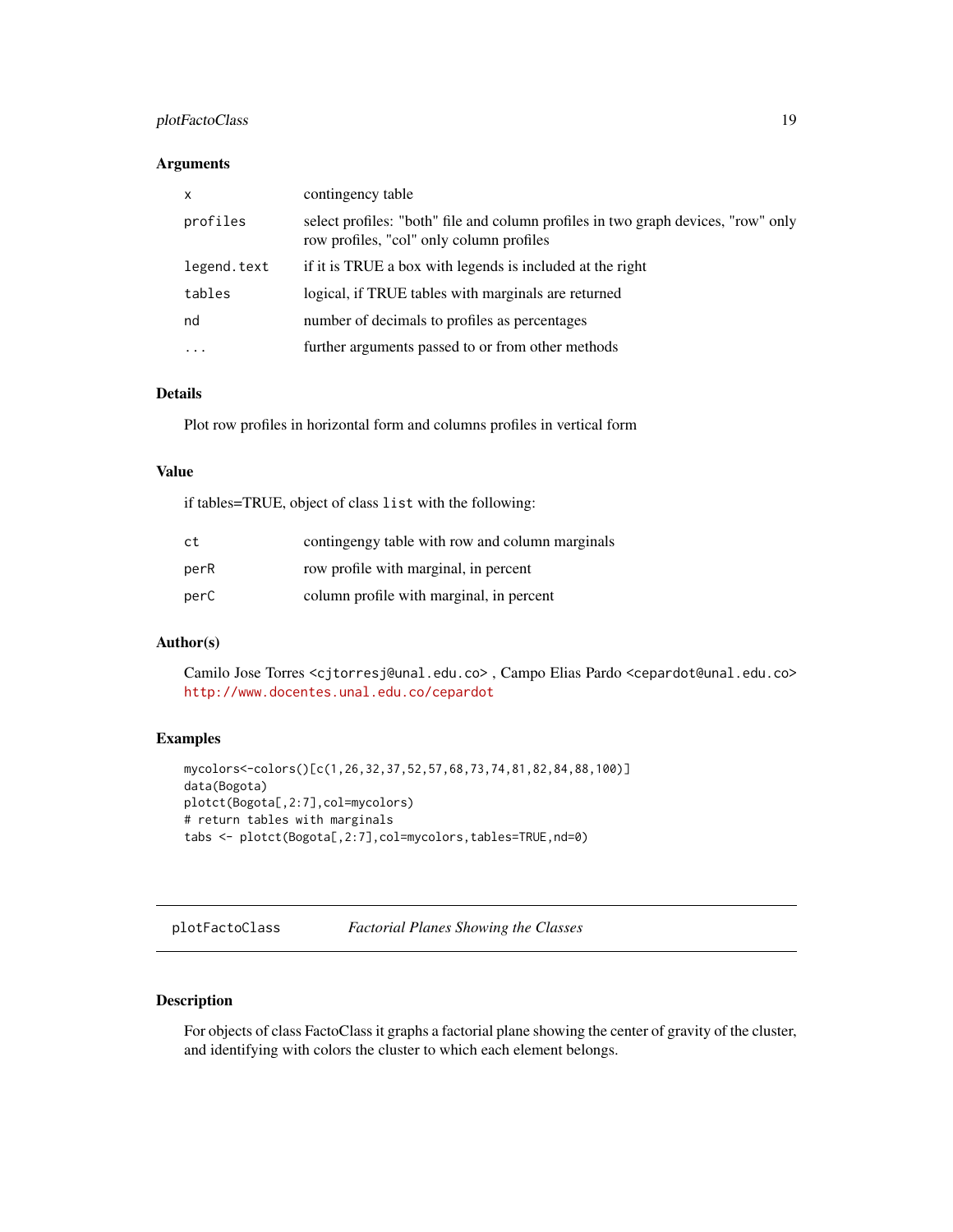# <span id="page-18-0"></span>plotFactoClass 19

#### Arguments

| $\mathsf{x}$ | contingency table                                                                                                             |
|--------------|-------------------------------------------------------------------------------------------------------------------------------|
| profiles     | select profiles: "both" file and column profiles in two graph devices, "row" only<br>row profiles, "col" only column profiles |
| legend.text  | if it is TRUE a box with legends is included at the right                                                                     |
| tables       | logical, if TRUE tables with marginals are returned                                                                           |
| nd           | number of decimals to profiles as percentages                                                                                 |
| $\cdots$     | further arguments passed to or from other methods                                                                             |

# Details

Plot row profiles in horizontal form and columns profiles in vertical form

# Value

if tables=TRUE, object of class list with the following:

| ct   | continging table with row and column marginals |
|------|------------------------------------------------|
| perR | row profile with marginal, in percent          |
| perC | column profile with marginal, in percent       |

# Author(s)

Camilo Jose Torres <cjtorresj@unal.edu.co> , Campo Elias Pardo <cepardot@unal.edu.co> <http://www.docentes.unal.edu.co/cepardot>

#### Examples

```
mycolors<-colors()[c(1,26,32,37,52,57,68,73,74,81,82,84,88,100)]
data(Bogota)
plotct(Bogota[,2:7],col=mycolors)
# return tables with marginals
tabs <- plotct(Bogota[,2:7],col=mycolors,tables=TRUE,nd=0)
```
<span id="page-18-1"></span>plotFactoClass *Factorial Planes Showing the Classes*

# Description

For objects of class FactoClass it graphs a factorial plane showing the center of gravity of the cluster, and identifying with colors the cluster to which each element belongs.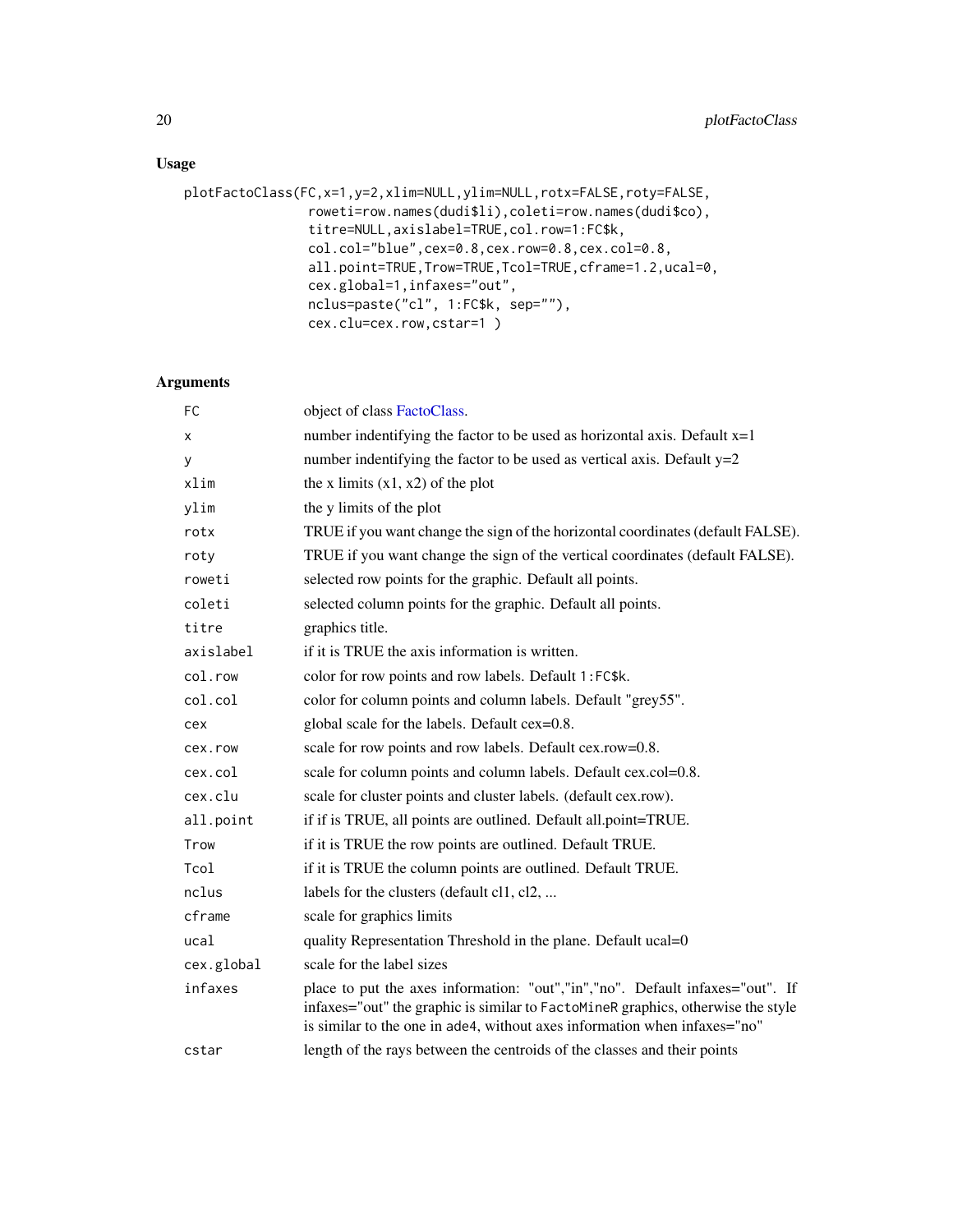# <span id="page-19-0"></span>Usage

```
plotFactoClass(FC,x=1,y=2,xlim=NULL,ylim=NULL,rotx=FALSE,roty=FALSE,
                roweti=row.names(dudi$li),coleti=row.names(dudi$co),
                titre=NULL,axislabel=TRUE,col.row=1:FC$k,
                col.col="blue",cex=0.8,cex.row=0.8,cex.col=0.8,
                all.point=TRUE,Trow=TRUE,Tcol=TRUE,cframe=1.2,ucal=0,
                cex.global=1,infaxes="out",
                nclus=paste("cl", 1:FC$k, sep=""),
                cex.clu=cex.row,cstar=1 )
```
# Arguments

| FC         | object of class FactoClass.                                                                                                                                                                                                                    |
|------------|------------------------------------------------------------------------------------------------------------------------------------------------------------------------------------------------------------------------------------------------|
| x          | number indentifying the factor to be used as horizontal axis. Default $x=1$                                                                                                                                                                    |
| У          | number indentifying the factor to be used as vertical axis. Default $y=2$                                                                                                                                                                      |
| xlim       | the x limits $(x1, x2)$ of the plot                                                                                                                                                                                                            |
| ylim       | the y limits of the plot                                                                                                                                                                                                                       |
| rotx       | TRUE if you want change the sign of the horizontal coordinates (default FALSE).                                                                                                                                                                |
| roty       | TRUE if you want change the sign of the vertical coordinates (default FALSE).                                                                                                                                                                  |
| roweti     | selected row points for the graphic. Default all points.                                                                                                                                                                                       |
| coleti     | selected column points for the graphic. Default all points.                                                                                                                                                                                    |
| titre      | graphics title.                                                                                                                                                                                                                                |
| axislabel  | if it is TRUE the axis information is written.                                                                                                                                                                                                 |
| col.row    | color for row points and row labels. Default 1:FC\$k.                                                                                                                                                                                          |
| col.col    | color for column points and column labels. Default "grey55".                                                                                                                                                                                   |
| cex        | global scale for the labels. Default cex=0.8.                                                                                                                                                                                                  |
| cex.row    | scale for row points and row labels. Default cex.row=0.8.                                                                                                                                                                                      |
| cex.col    | scale for column points and column labels. Default cex.col=0.8.                                                                                                                                                                                |
| cex.clu    | scale for cluster points and cluster labels. (default cex.row).                                                                                                                                                                                |
| all.point  | if if is TRUE, all points are outlined. Default all.point=TRUE.                                                                                                                                                                                |
| Trow       | if it is TRUE the row points are outlined. Default TRUE.                                                                                                                                                                                       |
| Tcol       | if it is TRUE the column points are outlined. Default TRUE.                                                                                                                                                                                    |
| nclus      | labels for the clusters (default cl1, cl2,                                                                                                                                                                                                     |
| cframe     | scale for graphics limits                                                                                                                                                                                                                      |
| ucal       | quality Representation Threshold in the plane. Default ucal=0                                                                                                                                                                                  |
| cex.global | scale for the label sizes                                                                                                                                                                                                                      |
| infaxes    | place to put the axes information: "out","in","no". Default infaxes="out". If<br>infaxes="out" the graphic is similar to FactoMineR graphics, otherwise the style<br>is similar to the one in ade4, without axes information when infaxes="no" |
| cstar      | length of the rays between the centroids of the classes and their points                                                                                                                                                                       |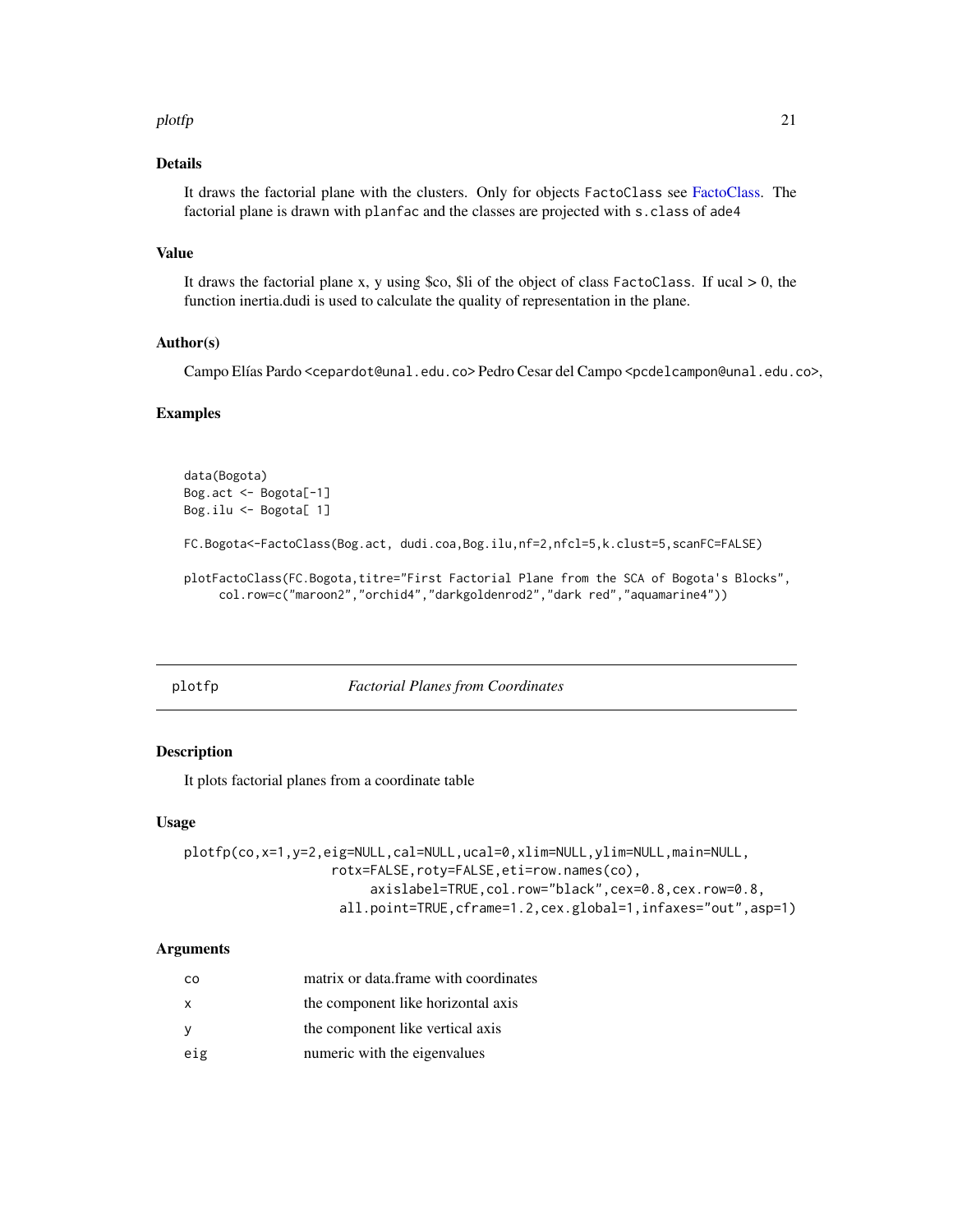#### <span id="page-20-0"></span>plotfp 21

# Details

It draws the factorial plane with the clusters. Only for objects FactoClass see [FactoClass.](#page-8-1) The factorial plane is drawn with planfac and the classes are projected with s.class of ade4

#### Value

It draws the factorial plane x, y using \$co, \$li of the object of class FactoClass. If ucal  $> 0$ , the function inertia.dudi is used to calculate the quality of representation in the plane.

# Author(s)

Campo Elías Pardo <cepardot@unal.edu.co> Pedro Cesar del Campo <pcdelcampon@unal.edu.co>,

#### Examples

```
data(Bogota)
Bog.act <- Bogota[-1]
Bog.ilu <- Bogota[ 1]
FC.Bogota<-FactoClass(Bog.act, dudi.coa,Bog.ilu,nf=2,nfcl=5,k.clust=5,scanFC=FALSE)
plotFactoClass(FC.Bogota,titre="First Factorial Plane from the SCA of Bogota's Blocks",
     col.row=c("maroon2","orchid4","darkgoldenrod2","dark red","aquamarine4"))
```
plotfp *Factorial Planes from Coordinates*

# Description

It plots factorial planes from a coordinate table

#### Usage

```
plotfp(co,x=1,y=2,eig=NULL,cal=NULL,ucal=0,xlim=NULL,ylim=NULL,main=NULL,
                   rotx=FALSE,roty=FALSE,eti=row.names(co),
                        axislabel=TRUE,col.row="black",cex=0.8,cex.row=0.8,
                    all.point=TRUE,cframe=1.2,cex.global=1,infaxes="out",asp=1)
```
# Arguments

| <sub>CO</sub> | matrix or data.frame with coordinates |
|---------------|---------------------------------------|
| X             | the component like horizontal axis    |
| <b>V</b>      | the component like vertical axis      |
| eig           | numeric with the eigenvalues          |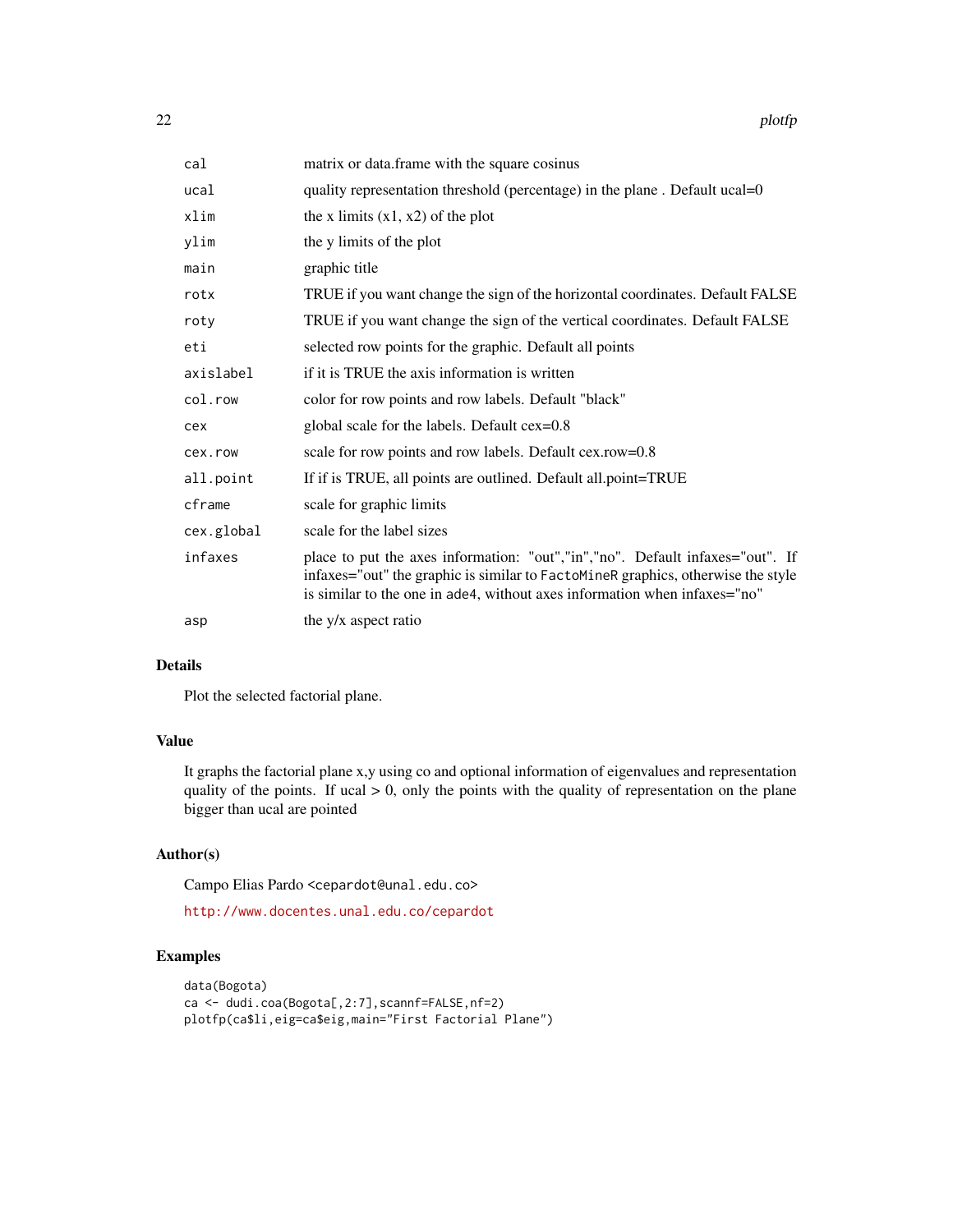| cal        | matrix or data.frame with the square cosinus                                                                                                                                                                                                   |
|------------|------------------------------------------------------------------------------------------------------------------------------------------------------------------------------------------------------------------------------------------------|
| ucal       | quality representation threshold (percentage) in the plane. Default ucal=0                                                                                                                                                                     |
| xlim       | the x limits $(x1, x2)$ of the plot                                                                                                                                                                                                            |
| ylim       | the y limits of the plot                                                                                                                                                                                                                       |
| main       | graphic title                                                                                                                                                                                                                                  |
| rotx       | TRUE if you want change the sign of the horizontal coordinates. Default FALSE                                                                                                                                                                  |
| roty       | TRUE if you want change the sign of the vertical coordinates. Default FALSE                                                                                                                                                                    |
| eti        | selected row points for the graphic. Default all points                                                                                                                                                                                        |
| axislabel  | if it is TRUE the axis information is written                                                                                                                                                                                                  |
| col.row    | color for row points and row labels. Default "black"                                                                                                                                                                                           |
| cex        | global scale for the labels. Default cex=0.8                                                                                                                                                                                                   |
| cex.row    | scale for row points and row labels. Default cex.row=0.8                                                                                                                                                                                       |
| all.point  | If if is TRUE, all points are outlined. Default all point=TRUE                                                                                                                                                                                 |
| cframe     | scale for graphic limits                                                                                                                                                                                                                       |
| cex.global | scale for the label sizes                                                                                                                                                                                                                      |
| infaxes    | place to put the axes information: "out","in","no". Default infaxes="out". If<br>infaxes="out" the graphic is similar to FactoMineR graphics, otherwise the style<br>is similar to the one in ade4, without axes information when infaxes="no" |
| asp        | the y/x aspect ratio                                                                                                                                                                                                                           |

#### Details

Plot the selected factorial plane.

# Value

It graphs the factorial plane x,y using co and optional information of eigenvalues and representation quality of the points. If ucal  $> 0$ , only the points with the quality of representation on the plane bigger than ucal are pointed

#### Author(s)

Campo Elias Pardo <cepardot@unal.edu.co>

<http://www.docentes.unal.edu.co/cepardot>

```
data(Bogota)
ca <- dudi.coa(Bogota[,2:7],scannf=FALSE,nf=2)
plotfp(ca$li,eig=ca$eig,main="First Factorial Plane")
```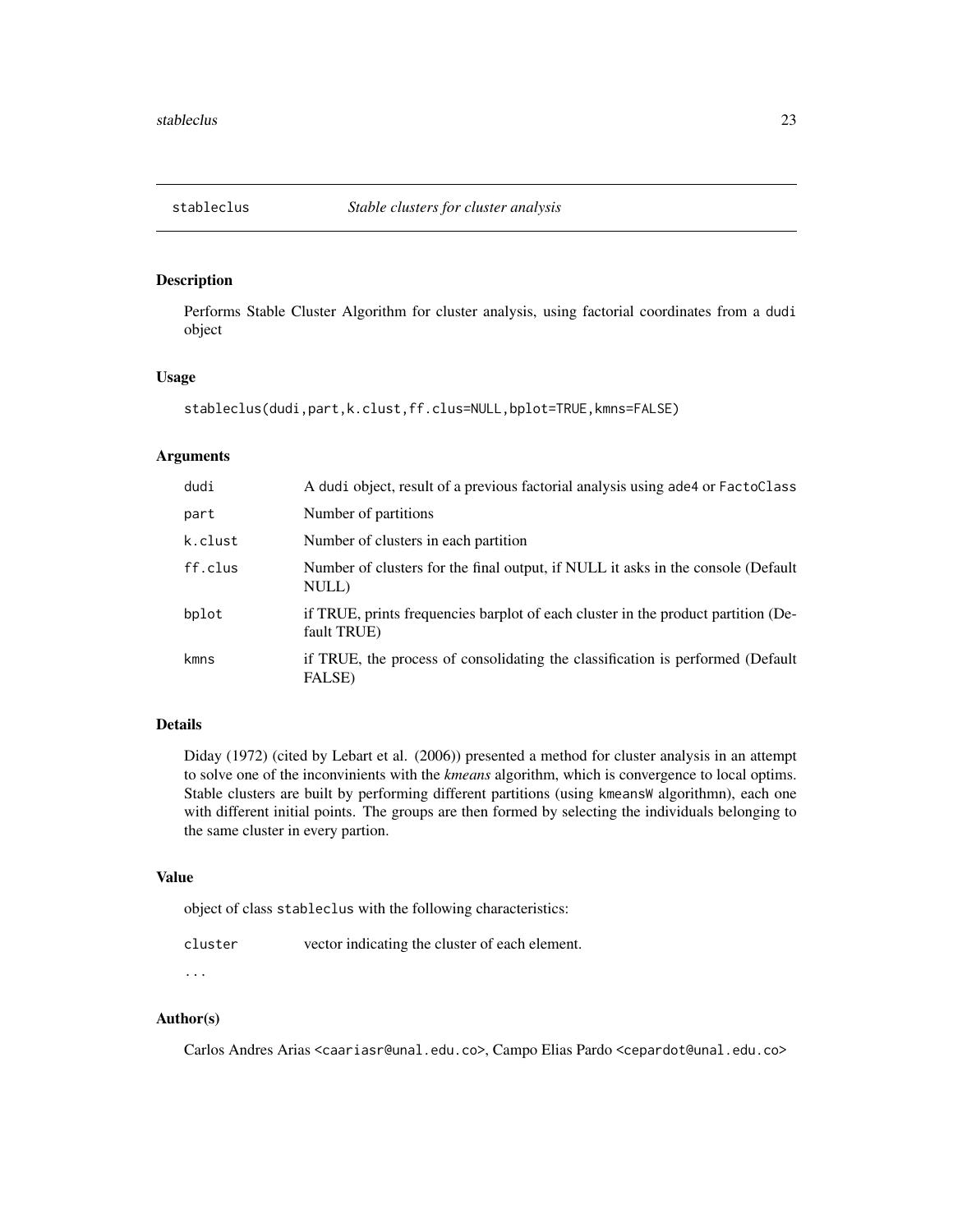<span id="page-22-0"></span>

Performs Stable Cluster Algorithm for cluster analysis, using factorial coordinates from a dudi object

# Usage

stableclus(dudi,part,k.clust,ff.clus=NULL,bplot=TRUE,kmns=FALSE)

#### Arguments

| dudi    | A dudi object, result of a previous factorial analysis using a de4 or FactoClass                 |
|---------|--------------------------------------------------------------------------------------------------|
| part    | Number of partitions                                                                             |
| k.clust | Number of clusters in each partition                                                             |
| ff.clus | Number of clusters for the final output, if NULL it asks in the console (Default<br>NULL)        |
| bplot   | if TRUE, prints frequencies barplot of each cluster in the product partition (De-<br>fault TRUE) |
| kmns    | if TRUE, the process of consolidating the classification is performed (Default<br>FALSE)         |

# Details

Diday (1972) (cited by Lebart et al. (2006)) presented a method for cluster analysis in an attempt to solve one of the inconvinients with the *kmeans* algorithm, which is convergence to local optims. Stable clusters are built by performing different partitions (using kmeansW algorithmn), each one with different initial points. The groups are then formed by selecting the individuals belonging to the same cluster in every partion.

#### Value

object of class stableclus with the following characteristics:

| cluster | vector indicating the cluster of each element. |
|---------|------------------------------------------------|
|---------|------------------------------------------------|

# ...

# Author(s)

Carlos Andres Arias <caariasr@unal.edu.co>, Campo Elias Pardo <cepardot@unal.edu.co>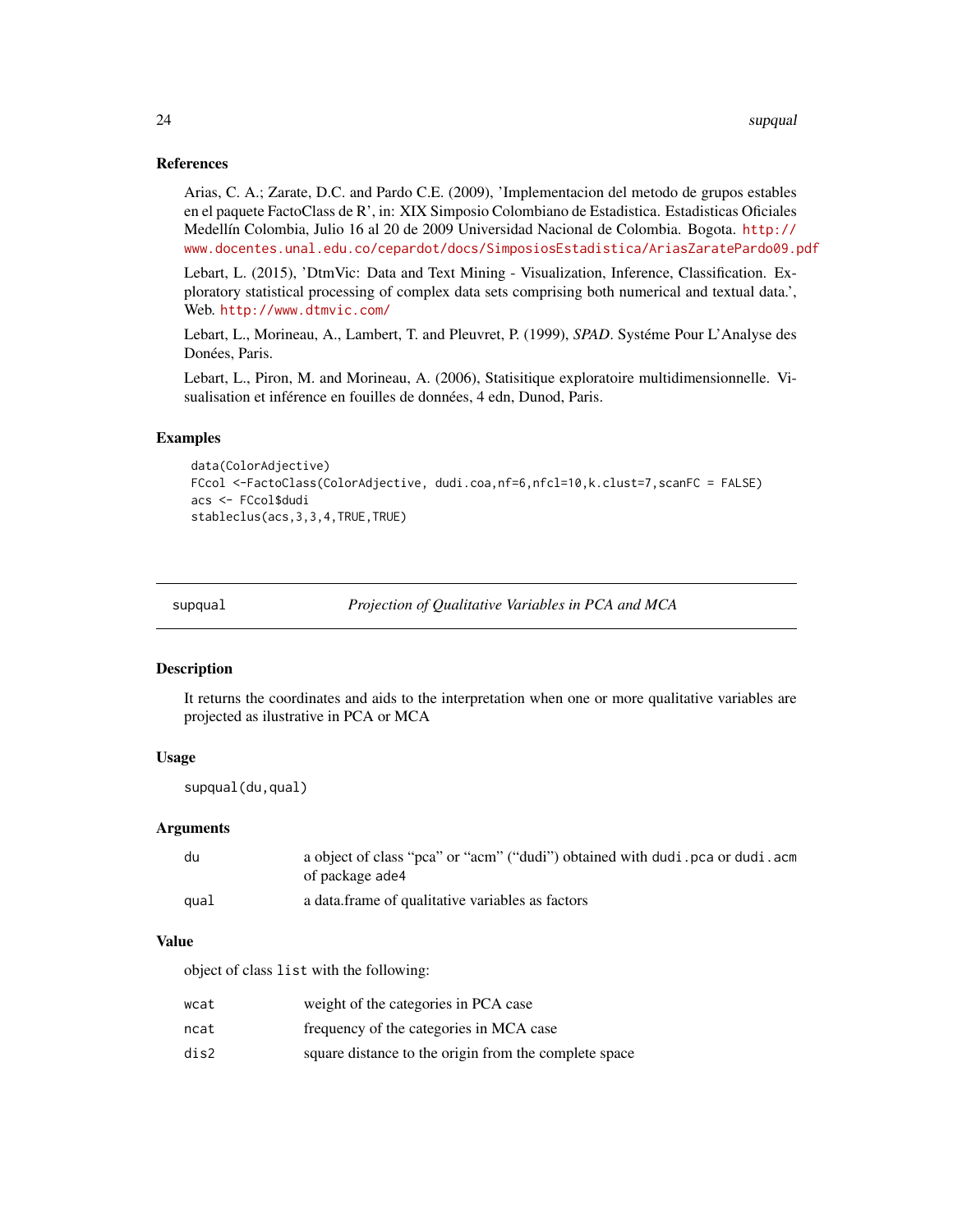#### <span id="page-23-0"></span>References

Arias, C. A.; Zarate, D.C. and Pardo C.E. (2009), 'Implementacion del metodo de grupos estables en el paquete FactoClass de R', in: XIX Simposio Colombiano de Estadistica. Estadisticas Oficiales Medellín Colombia, Julio 16 al 20 de 2009 Universidad Nacional de Colombia. Bogota. [http://](http://www.docentes.unal.edu.co/cepardot/docs/SimposiosEstadistica/AriasZaratePardo09.pdf) [www.docentes.unal.edu.co/cepardot/docs/SimposiosEstadistica/AriasZaratePardo09.pdf](http://www.docentes.unal.edu.co/cepardot/docs/SimposiosEstadistica/AriasZaratePardo09.pdf)

Lebart, L. (2015), 'DtmVic: Data and Text Mining - Visualization, Inference, Classification. Exploratory statistical processing of complex data sets comprising both numerical and textual data.', Web. <http://www.dtmvic.com/>

Lebart, L., Morineau, A., Lambert, T. and Pleuvret, P. (1999), *SPAD*. Systéme Pour L'Analyse des Donées, Paris.

Lebart, L., Piron, M. and Morineau, A. (2006), Statisitique exploratoire multidimensionnelle. Visualisation et inférence en fouilles de données, 4 edn, Dunod, Paris.

#### Examples

```
data(ColorAdjective)
FCcol <-FactoClass(ColorAdjective, dudi.coa,nf=6,nfcl=10,k.clust=7,scanFC = FALSE)
acs <- FCcol$dudi
stableclus(acs,3,3,4,TRUE,TRUE)
```
supqual *Projection of Qualitative Variables in PCA and MCA*

#### **Description**

It returns the coordinates and aids to the interpretation when one or more qualitative variables are projected as ilustrative in PCA or MCA

#### Usage

supqual(du,qual)

#### Arguments

| du   | a object of class "pca" or "acm" ("dudi") obtained with dudi . pca or dudi . acm<br>of package ade4 |
|------|-----------------------------------------------------------------------------------------------------|
| qual | a data frame of qualitative variables as factors                                                    |

#### Value

object of class list with the following:

| wcat | weight of the categories in PCA case                  |
|------|-------------------------------------------------------|
| ncat | frequency of the categories in MCA case               |
| dis2 | square distance to the origin from the complete space |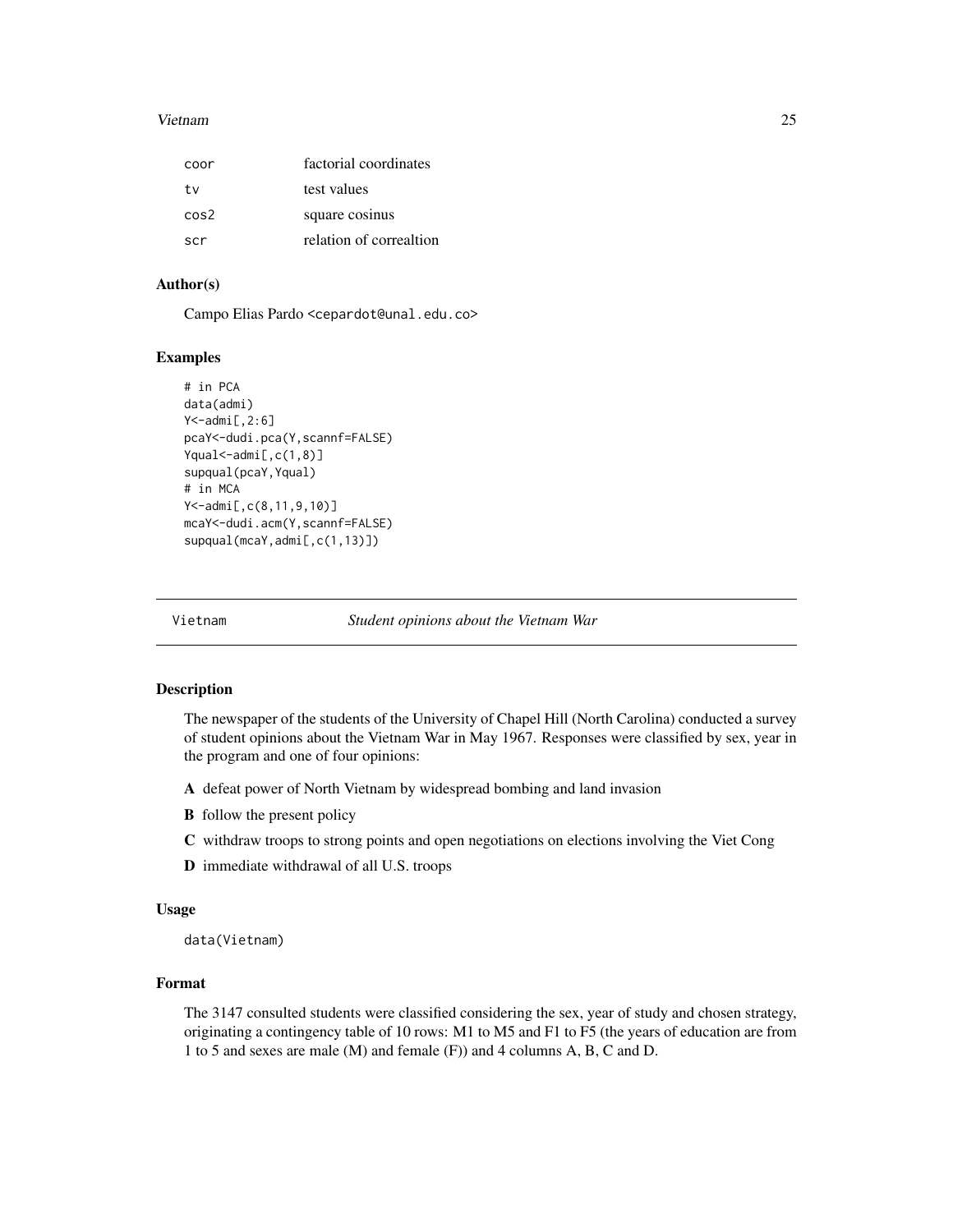#### <span id="page-24-0"></span>Vietnam 25

| coor | factorial coordinates   |
|------|-------------------------|
| tv   | test values             |
| cos2 | square cosinus          |
| scr  | relation of correaltion |

# Author(s)

Campo Elias Pardo <cepardot@unal.edu.co>

# Examples

```
# in PCA
data(admi)
Y<-admi[,2:6]
pcaY<-dudi.pca(Y,scannf=FALSE)
Yqual<-admi[,c(1,8)]
supqual(pcaY,Yqual)
# in MCA
Y<-admi[,c(8,11,9,10)]
mcaY<-dudi.acm(Y,scannf=FALSE)
supqual(mcaY,admi[,c(1,13)])
```
Vietnam *Student opinions about the Vietnam War*

#### Description

The newspaper of the students of the University of Chapel Hill (North Carolina) conducted a survey of student opinions about the Vietnam War in May 1967. Responses were classified by sex, year in the program and one of four opinions:

- A defeat power of North Vietnam by widespread bombing and land invasion
- B follow the present policy
- C withdraw troops to strong points and open negotiations on elections involving the Viet Cong
- D immediate withdrawal of all U.S. troops

#### Usage

data(Vietnam)

#### Format

The 3147 consulted students were classified considering the sex, year of study and chosen strategy, originating a contingency table of 10 rows: M1 to M5 and F1 to F5 (the years of education are from 1 to 5 and sexes are male (M) and female (F)) and 4 columns A, B, C and D.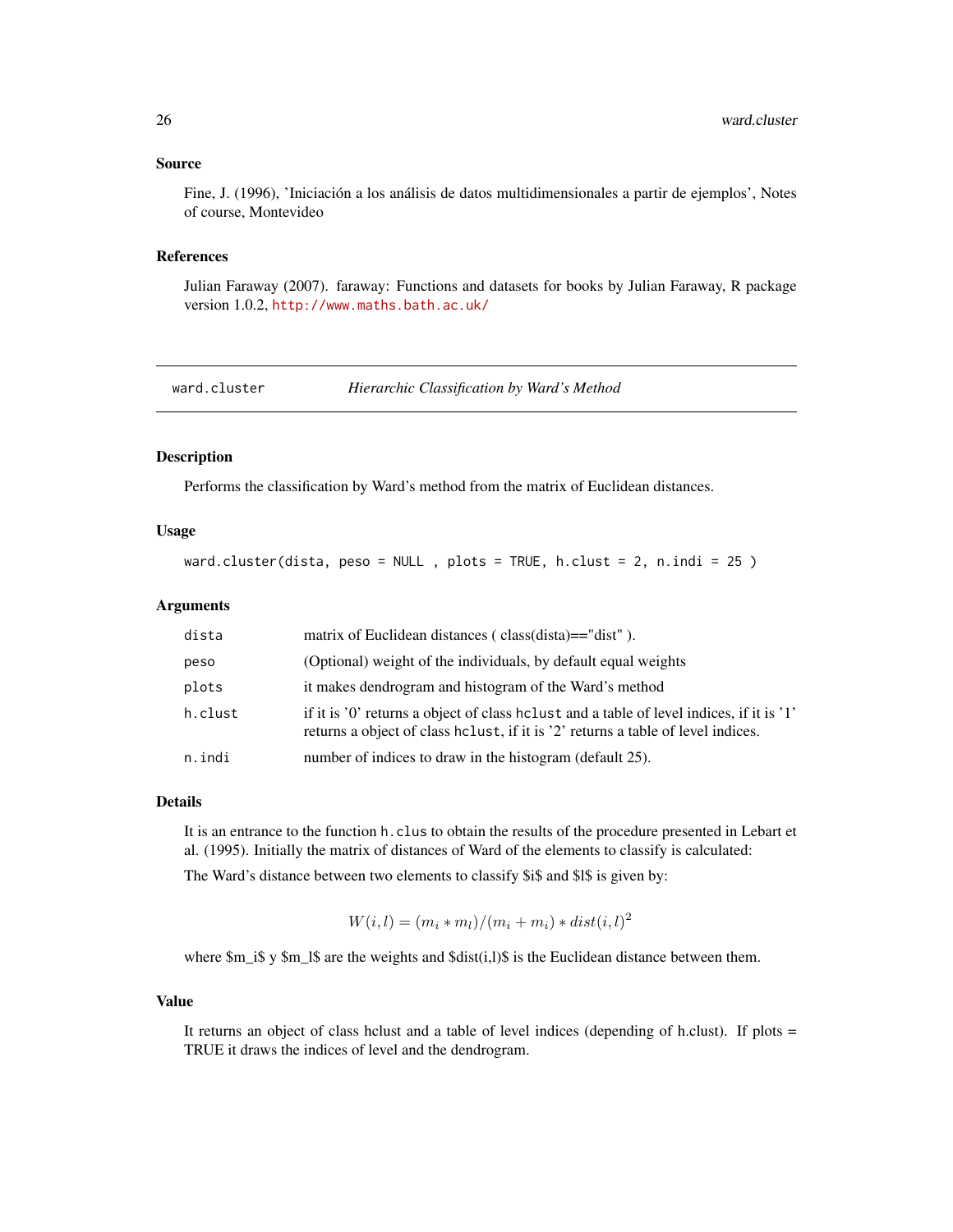#### <span id="page-25-0"></span>Source

Fine, J. (1996), 'Iniciación a los análisis de datos multidimensionales a partir de ejemplos', Notes of course, Montevideo

#### References

Julian Faraway (2007). faraway: Functions and datasets for books by Julian Faraway, R package version 1.0.2, <http://www.maths.bath.ac.uk/>

ward.cluster *Hierarchic Classification by Ward's Method*

#### Description

Performs the classification by Ward's method from the matrix of Euclidean distances.

#### Usage

ward.cluster(dista, peso = NULL , plots = TRUE, h.clust = 2, n.indi = 25 )

#### Arguments

| dista   | matrix of Euclidean distances (class(dista)=="dist").                                                                                                                          |
|---------|--------------------------------------------------------------------------------------------------------------------------------------------------------------------------------|
| peso    | (Optional) weight of the individuals, by default equal weights                                                                                                                 |
| plots   | it makes dendrogram and histogram of the Ward's method                                                                                                                         |
| h.clust | if it is '0' returns a object of class holiest and a table of level indices, if it is '1'<br>returns a object of class heliust, if it is '2' returns a table of level indices. |
| n.indi  | number of indices to draw in the histogram (default 25).                                                                                                                       |

#### Details

It is an entrance to the function h.clus to obtain the results of the procedure presented in Lebart et al. (1995). Initially the matrix of distances of Ward of the elements to classify is calculated:

The Ward's distance between two elements to classify \$i\$ and \$l\$ is given by:

 $W(i, l) = (m_i * m_l)/(m_i + m_i) * dist(i, l)^2$ 

where  $m_i$  is y  $m_l$  is are the weights and  $sdist(i,l)$  is the Euclidean distance between them.

#### Value

It returns an object of class hclust and a table of level indices (depending of h.clust). If plots = TRUE it draws the indices of level and the dendrogram.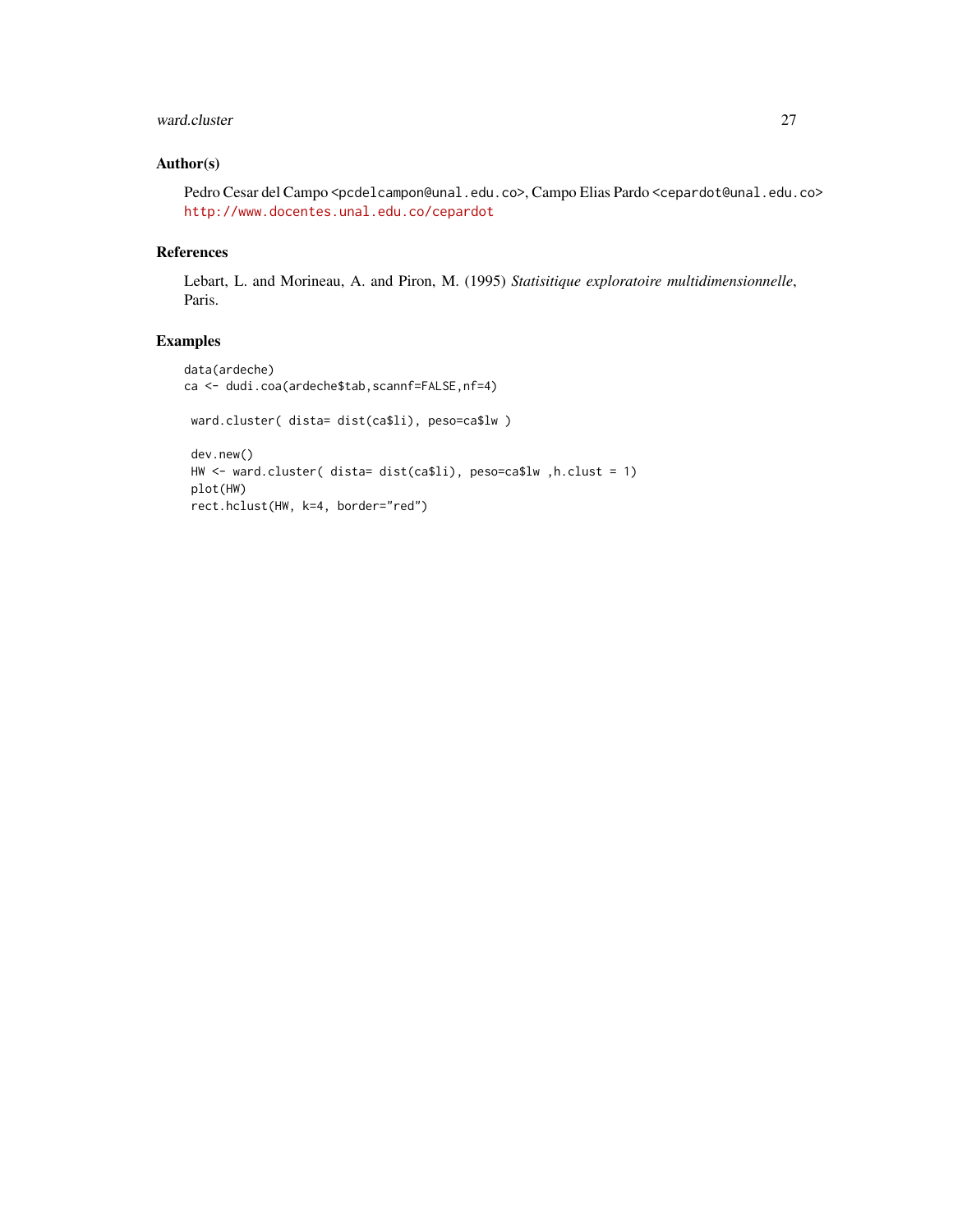# ward.cluster 27

# Author(s)

Pedro Cesar del Campo <pcdelcampon@unal.edu.co>, Campo Elias Pardo <cepardot@unal.edu.co> <http://www.docentes.unal.edu.co/cepardot>

# References

Lebart, L. and Morineau, A. and Piron, M. (1995) *Statisitique exploratoire multidimensionnelle*, Paris.

```
data(ardeche)
ca <- dudi.coa(ardeche$tab,scannf=FALSE,nf=4)
 ward.cluster( dista= dist(ca$li), peso=ca$lw )
 dev.new()
 HW <- ward.cluster( dista= dist(ca$li), peso=ca$lw ,h.clust = 1)
 plot(HW)
 rect.hclust(HW, k=4, border="red")
```